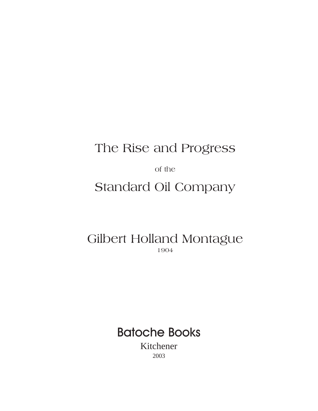# The Rise and Progress

of the

# Standard Oil Company

## Gilbert Holland Montague 1904

# Batoche Books Kitchener

2003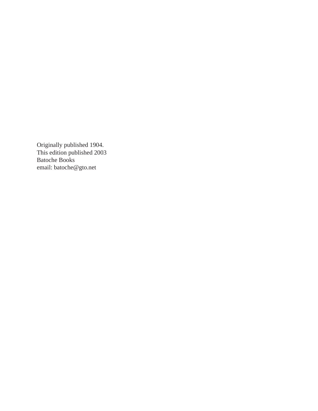Originally published 1904. This edition published 2003 Batoche Books email: batoche@gto.net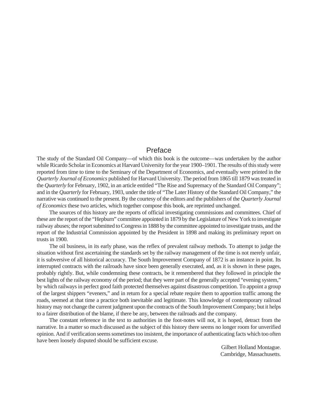### Preface

The study of the Standard Oil Company—of which this book is the outcome—was undertaken by the author while Ricardo Scholar in Economics at Harvard University for the year 1900–1901. The results of this study were reported from time to time to the Seminary of the Department of Economics, and eventually were printed in the *Quarterly Journal of Economics* published for Harvard University. The period from 1865 till 1879 was treated in the *Quarterly* for February, 1902, in an article entitled "The Rise and Supremacy of the Standard Oil Company"; and in the *Quarterly* for February, 1903, under the title of "The Later History of the Standard Oil Company," the narrative was continued to the present. By the courtesy of the editors and the publishers of the *Quarterly Journal of Economics* these two articles, which together compose this book, are reprinted unchanged.

The sources of this history are the reports of official investigating commissions and committees. Chief of these are the report of the "Hepburn" committee appointed in 1879 by the Legislature of New York to investigate railway abuses; the report submitted to Congress in 1888 by the committee appointed to investigate trusts, and the report of the Industrial Commission appointed by the President in 1898 and making its preliminary report on trusts in 1900.

The oil business, in its early phase, was the reflex of prevalent railway methods. To attempt to judge the situation without first ascertaining the standards set by the railway management of the time is not merely unfair, it is subversive of all historical accuracy. The South Improvement Company of 1872 is an instance in point. Its interrupted contracts with the railroads have since been generally execrated, and, as it is shown in these pages, probably rightly. But, while condemning these contracts, be it remembered that they followed in principle the best lights of the railway economy of the period; that they were part of the generally accepted "evening system," by which railways in perfect good faith protected themselves against disastrous competition. To appoint a group of the largest shippers "eveners," and in return for a special rebate require them to apportion traffic among the roads, seemed at that time a practice both inevitable and legitimate. This knowledge of contemporary railroad history may not change the current judgment upon the contracts of the South Improvement Company; but it helps to a fairer distribution of the blame, if there be any, between the railroads and the company.

The constant reference in the text to authorities in the foot-notes will not, it is hoped, detract from the narrative. In a matter so much discussed as the subject of this history there seems no longer room for unverified opinion. And if verification seems sometimes too insistent, the importance of authenticating facts which too often have been loosely disputed should be sufficient excuse.

> Gilbert Holland Montague. Cambridge, Massachusetts.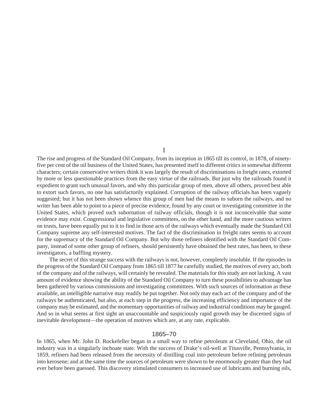I

The rise and progress of the Standard Oil Company, from its inception in 1865 till its control, in 1878, of ninetyfive per cent of the oil business of the United States, has presented itself to different critics in somewhat different characters; certain conservative writers think it was largely the result of discriminations in freight rates, extorted by more or less questionable practices from the easy virtue of the railroads. But just why the railroads found it expedient to grant such unusual favors, and why this particular group of men, above all others, proved best able to extort such favors, no one has satisfactorily explained. Corruption of the railway officials has been vaguely suggested; but it has not been shown whence this group of men had the means to suborn the railways, and no writer has been able to point to a piece of precise evidence, found by any court or investigating committee in the United States, which proved such subornation of railway officials, though it is not inconceivable that some evidence may exist. Congressional and legislative committees, on the other hand, and the more cautious writers on trusts, have been equally put to it to find in those acts of the railways which eventually made the Standard Oil Company supreme any self-interested motives. The fact of the discrimination in freight rates seems to account for the supremacy of the Standard Oil Company. But why those refiners identified with the Standard Oil Company, instead of some other group of refiners, should persistently have obtained the best rates, has been, to these investigators, a baffling mystery.

The secret of this strange success with the railways is not, however, completely insoluble. If the episodes in the progress of the Standard Oil Company from 1865 till 1877 be carefully studied, the motives of every act, both of the company and of the railways, will certainly be revealed. The materials for this study are not lacking. A vast amount of evidence showing the ability of the Standard Oil Company to turn these possibilities to advantage has been gathered by various commissions and investigating committees. With such sources of information as these available, an intelligible narrative may readily be put together. Not only may each act of the company and of the railways be authenticated, but also, at each step in the progress, the increasing efficiency and importance of the company may be estimated, and the momentary opportunities of railway and industrial conditions may be gauged. And so in what seems at first sight an unaccountable and suspiciously rapid growth may be discerned signs of inevitable development—the operation of motives which are, at any rate, explicable.

#### 1865–70

In 1865, when Mr. John D. Rockefeller began in a small way to refine petroleum at Cleveland, Ohio, the oil industry was in a singularly inchoate state. With the success of Drake's oil-well at Titusville, Pennsylvania, in 1859, refiners had been released from the necessity of distilling coal into petroleum before refining petroleum into kerosene; and at the same time the sources of petroleum were shown to be enormously greater than they had ever before been guessed. This discovery stimulated consumers to increased use of lubricants and burning oils,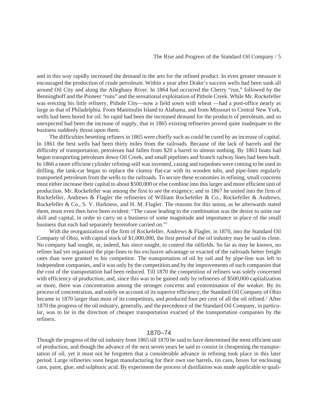and in this way rapidly increased the demand in the arts for the refined product. In even greater measure it encouraged the production of crude petroleum. Within a year after Drake's success wells had been sunk all around Oil City and along the Alleghany River. In 1864 had occurred the Cherry "run," followed by the Benninghoff and the Pioneer "runs" and the sensational exploitation of Pithole Creek. While Mr. Rockefeller was erecting his little refinery, Pithole City—now a field sown with wheat —had a post-office nearly as large as that of Philadelphia. From Manitoulin Island to Alabama, and from Missouri to Central New York, wells had been bored for oil. So rapid had been the increased demand for the products of petroleum, and so unexpected had been the increase of supply, that in 1865 existing refineries proved quite inadequate to the business suddenly thrust upon them.

The difficulties besetting refiners in 1865 were chiefly such as could be cured by an increase of capital. In 1861 the best wells had been thirty miles from the railroads. Because of the lack of barrels and the difficulty of transportation, petroleum had fallen from \$20 a barrel to almost nothing. By 1863 boats had begun transporting petroleum down Oil Creek, and small pipelines and branch railway lines had been built. In 1866 a more efficient cylinder refining-still was invented, casing and torpedoes were coming to be used in drilling, the tank-car began to replace the clumsy flat-car with its wooden tubs, and pipe-lines regularly transported petroleum from the wells to the railroads. To secure these economies in refining, small concerns must either increase their capital to about \$500,000 or else combine into this larger and more efficient unit of production. Mr. Rockefeller was among the first to see the exigency; and in 1867 he united into the firm of Rockefeller, Andrews & Flagler the refineries of William Rockefeller & Co., Rockefeller & Andrews, Rockefeller & Co., S. V. Harkness, and H. M. Flagler. The reasons for this union, as he afterwards stated them, must even then have been evident: "The cause leading to the combination was the desire to unite our skill and capital, in order to carry on a business of some magnitude and importance in place of the small business that each had separately heretofore carried on."1

With the reorganization of the firm of Rockefeller, Andrews & Flagler, in 1870, into the Standard Oil Company of Ohio, with capital stock of \$1,000,000, the first period of the oil industry may be said to close. No company had sought, or, indeed, has since sought, to control the oilfields. So far as may be known, no refiner had yet organized the pipe-lines to his exclusive advantage or exacted of the railroads better freight rates than were granted to his competitor. The transportation of oil by rail and by pipe-line was left to independent companies, and it was only by the competition and by the improvements of such companies that the cost of the transportation had been reduced. Till 1870 the competition of refiners was solely concerned with efficiency of production; and, since this was to be gained only by refineries of \$500,000 capitalization or more, there was concentration among the stronger concerns and extermination of the weaker. By its process of concentration, and solely on account of its superior efficiency, the Standard Oil Company of Ohio became in 1870 larger than most of its competitors, and produced four per cent of all the oil refined.<sup>2</sup> After 1870 the progress of the oil industry, generally, and the precedence of the Standard Oil Company, in particular, was to lie in the direction of cheaper transportation exacted of the transportation companies by the refiners.

#### 1870–74

Though the progress of the oil industry from 1865 till 1870 be said to have determined the most efficient unit of production, and though the advance of the next seven years be said to consist in cheapening the transportation of oil, yet it must not be forgotten that a considerable advance in refining took place in this later period. Large refineries soon began manufacturing for their own use barrels, tin cans, boxes for enclosing cans, paint, glue, and sulphuric acid. By experiment the process of distillation was made applicable to quali-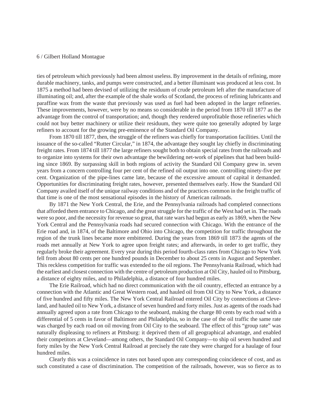ties of petroleum which previously had been almost useless. By improvement in the details of refining, more durable machinery, tanks, and pumps were constructed, and a better illuminant was produced at less cost. In 1875 a method had been devised of utilizing the residuum of crude petroleum left after the manufacture of illuminating oil; and, after the example of the shale works of Scotland, the process of refining lubricants and paraffine wax from the waste that previously was used as fuel had been adopted in the larger refineries. These improvements, however, were by no means so considerable in the period from 1870 till 1877 as the advantage from the control of transportation; and, though they rendered unprofitable those refineries which could not buy better machinery or utilize their residuum, they were quite too generally adopted by large refiners to account for the growing pre-eminence of the Standard Oil Company.

From 1870 till 1877, then, the struggle of the refiners was chiefly for transportation facilities. Until the issuance of the so-called "Rutter Circular," in 1874, the advantage they sought lay chiefly in discriminating freight rates. From 1874 till 1877 the large refiners sought both to obtain special rates from the railroads and to organize into systems for their own advantage the bewildering net-work of pipelines that had been building since 1869. By surpassing skill in both regions of activity the Standard Oil Company grew in. seven years from a concern controlling four per cent of the refined oil output into one. controlling ninety-five per cent. Organization of the pipe-lines came late, because of the excessive amount of capital it demanded. Opportunities for discriminating freight rates, however, presented themselves early. How the Standard Oil Company availed itself of the unique railway conditions and of the practices common in the freight traffic of that time is one of the most sensational episodes in the history of American railroads.

By 1871 the New York Central, the Erie, and the Pennsylvania railroads had completed connections that afforded them entrance to Chicago, and the great struggle for the traffic of the West had set in. The roads were so poor, and the necessity for revenue so great, that rate wars had begun as early as 1869, when the New York Central and the Pennsylvania roads had secured connection with Chicago. With the entrance of the Erie road and, in 1874, of the Baltimore and Ohio into Chicago, the competition for traffic throughout the region of the trunk lines became more embittered. During the years from 1869 till 1873 the agents of the roads met annually at New York to agree upon freight rates; and afterwards, in order to get traffic, they regularly broke their agreement. Every year during this period fourth-class rates from Chicago to New York fell from about 80 cents per one hundred pounds in December to about 25 cents in August and September. This reckless competition for traffic was extended to the oil regions. The Pennsylvania Railroad, which had the earliest and closest connection with the centre of petroleum production at Oil City, hauled oil to Pittsburg, a distance of eighty miles, and to Philadelphia, a distance of four hundred miles.

The Erie Railroad, which had no direct communication with the oil country, effected an entrance by a connection with the Atlantic and Great Western road, and hauled oil from Oil City to New York, a distance of five hundred and fifty miles. The New York Central Railroad entered Oil City by connections at Cleveland, and hauled oil to New York, a distance of seven hundred and forty miles. Just as agents of the roads had annually agreed upon a rate from Chicago to the seaboard, making the charge 80 cents by each road with a differential of 5 cents in favor of Baltimore and Philadelphia, so in the case of the oil traffic the same rate was charged by each road on oil moving from Oil City to the seaboard. The effect of this "group rate" was naturally displeasing to refiners at Pittsburg: it deprived them of all geographical advantage, and enabled their competitors at Cleveland—among others, the Standard Oil Company—to ship oil seven hundred and forty miles by the New York Central Railroad at precisely the rate they were charged for a haulage of four hundred miles.

Clearly this was a coincidence in rates not based upon any corresponding coincidence of cost, and as such constituted a case of discrimination. The competition of the railroads, however, was so fierce as to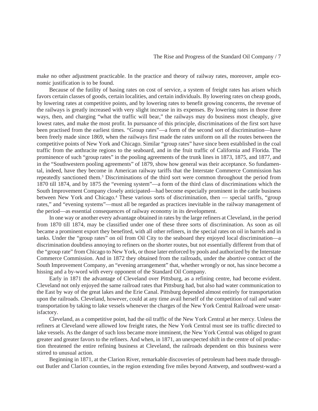make no other adjustment practicable. In the practice and theory of railway rates, moreover, ample economic justification is to be found.

Because of the futility of basing rates on cost of service, a system of freight rates has arisen which favors certain classes of goods, certain localities, and certain individuals. By lowering rates on cheap goods, by lowering rates at competitive points, and by lowering rates to benefit growing concerns, the revenue of the railways is greatly increased with very slight increase in its expenses. By lowering rates in those three ways, then, and charging "what the traffic will bear," the railways may do business most cheaply, give lowest rates, and make the most profit. In pursuance of this principle, discriminations of the first sort have been practised from the earliest times. "Group rates"—a form of the second sort of discrimination—have been freely made since 1869, when the railways first made the rates uniform on all the routes between the competitive points of New York and Chicago. Similar "group rates" have since been established in the coal traffic from the anthracite regions to the seaboard, and in the fruit traffic of California and Florida. The prominence of such "group rates" in the pooling agreements of the trunk lines in 1873, 1875, and 1877, and in the "Southwestern pooling agreements" of 1879, show how general was their acceptance. So fundamental, indeed, have they become in American railway tariffs that the Interstate Commerce Commission has repeatedly sanctioned them.<sup>3</sup> Discriminations of the third sort were common throughout the period from 1870 till 1874, and by 1875 the "evening system"—a form of the third class of discriminations which the South Improvement Company closely anticipated—had become especially prominent in the cattle business between New York and Chicago.<sup>4</sup> These various sorts of discrimination, then — special tariffs, "group rates," and "evening systems"—must all be regarded as practices inevitable in the railway management of the period—as essential consequences of railway economy in its development.

In one way or another every advantage obtained in rates by the large refiners at Cleveland, in the period from 1870 till 1874, may be classified under one of these three sorts of discrimination. As soon as oil became a prominent export they benefited, with all other refiners, in the special rates on oil in barrels and in tanks. Under the "group rates" on oil from Oil City to the seaboard they enjoyed local discrimination—a discrimination doubtless annoying to refiners on the shorter routes, but not essentially different from that of the "group rate" from Chicago to New York, or those later enforced by pools and authorized by the Interstate Commerce Commission. And in 1872 they obtained from the railroads, under the abortive contract of the South Improvement Company, an "evening arrangement" that, whether wrongly or not, has since become a hissing and a by-word with every opponent of the Standard Oil Company.

Early in 1871 the advantage of Cleveland over Pittsburg, as a refining centre, had become evident. Cleveland not only enjoyed the same railroad rates that Pittsburg had, but also had water communication to the East by way of the great lakes and the Erie Canal. Pittsburg depended almost entirely for transportation upon the railroads. Cleveland, however, could at any time avail herself of the competition of rail and water transportation by taking to lake vessels whenever the charges of the New York Central Railroad were unsatisfactory.

Cleveland, as a competitive point, had the oil traffic of the New York Central at her mercy. Unless the refiners at Cleveland were allowed low freight rates, the New York Central must see its traffic directed to lake vessels. As the danger of such loss became more imminent, the New York Central was obliged to grant greater and greater favors to the refiners. And when, in 1871, an unexpected shift in the centre of oil production threatened the entire refining business at Cleveland, the railroads dependent on this business were stirred to unusual action.

Beginning in 1871, at the Clarion River, remarkable discoveries of petroleum had been made throughout Butler and Clarion counties, in the region extending five miles beyond Antwerp, and southwest-ward a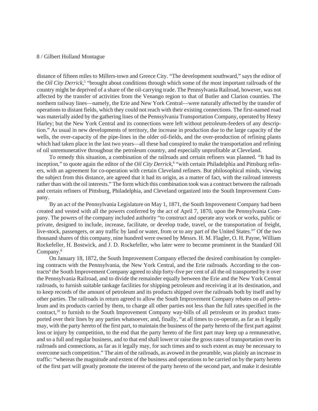distance of fifteen miles to Millers-town and Greece City. "The development southward," says the editor of the *Oil City Derrick,*<sup>5</sup> "brought about conditions through which some of the most important railroads of the country might be deprived of a share of the oil-carrying trade. The Pennsylvania Railroad, however, was not affected by the transfer of activities from the Venango region to that of Butler and Clarion counties. The northern railway lines—namely, the Erie and New York Central—were naturally affected by the transfer of operations to distant fields, which they could not reach with their existing connections. The first-named road was materially aided by the gathering lines of the Pennsylvania Transportation Company, operated by Henry Harley; but the New York Central and its connections were left without petroleum-feeders of any description." As usual in new developments of territory, the increase in production due to the large capacity of the wells, the over-capacity of the pipe-lines in the older oil-fields, and the over-production of refining plants which had taken place in the last two years—all these had conspired to make the transportation and refining of oil unremunerative throughout the petroleum country, and especially unprofitable at Cleveland.

To remedy this situation, a combination of the railroads and certain refiners was planned. "It had its inception," to quote again the editor of the *Oil City Derrick*, 6 "with certain Philadelphia and Pittsburg refiners, with an agreement for co-operation with certain Cleveland refiners. But philosophical minds, viewing the subject from this distance, are agreed that it had its origin, as a matter of fact, with the railroad interests rather than with the oil interests." The form which this combination took was a contract between the railroads and certain refiners of Pittsburg, Philadelphia, and Cleveland organized into the South Improvement Company.

By an act of the Pennsylvania Legislature on May 1, 1871, the South Improvement Company had been created and vested with all the powers conferred by the act of April 7, 1870, upon the Pennsylvania Company. The powers of the company included authority "to construct and operate any work or works, public or private, designed to include, increase, facilitate, or develop trade, travel, or the transportation of freight, live-stock, passengers, or any traffic by land or water, from or to any part of the United States."7 Of the two thousand shares of this company, nine hundred were owned by Messrs. H. M. Flagler, O. H. Payne, William Rockefeller, H. Bostwick, and J. D. Rockefeller, who later were to become prominent in the Standard Oil Company.8

On January 18, 1872, the South Improvement Company effected the desired combination by completing contracts with the Pennsylvania, the New York Central, and the Erie railroads. According to the contracts<sup>9</sup> the South Improvement Company agreed to ship forty-five per cent of all the oil transported by it over the Pennsylvania Railroad, and to divide the remainder equally between the Erie and the New York Central railroads, to furnish suitable tankage facilities for shipping petroleum and receiving it at its destination, and to keep records of the amount of petroleum and its products shipped over the railroads both by itself and by other parties. The railroads in return agreed to allow the South Improvement Company rebates on *all* petroleum and its products carried by them, to charge all other parties not less than the full rates specified in the contract,10 to furnish to the South Improvement Company way-bills of all petroleum or its product transported over their lines by any parties whatsoever, and, finally, "at all times to co-operate, as far as it legally may, with the party hereto of the first part, to maintain the business of the party hereto of the first part against loss or injury by competition, to the end that the party hereto of the first part may keep up a remunerative, and so a full and regular business, and to that end shall lower or raise the gross rates of transportation over its railroads and connections, as far as it legally may, for such times and to such extent as may be necessary to overcome such competition." The aim of the railroads, as avowed in the preamble, was plainly an increase in traffic: "whereas the magnitude and extent of the business and operations to be carried on by the party hereto of the first part will greatly promote the interest of the party hereto of the second part, and make it desirable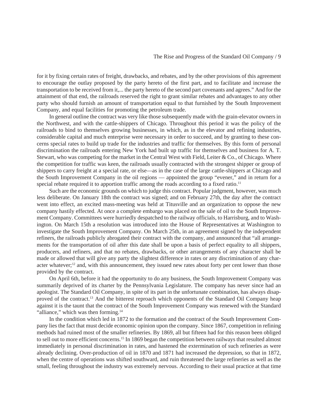for it by fixing certain rates of freight, drawbacks, and rebates, and by the other provisions of this agreement to encourage the outlay proposed by the party hereto of the first part, and to facilitate and increase the transportation to be received from it,... the party hereto of the second part covenants and agrees." And for the attainment of that end, the railroads reserved the right to grant similar rebates and advantages to any other party who should furnish an amount of transportation equal to that furnished by the South Improvement Company, and equal facilities for promoting the petroleum trade.

In general outline the contract was very like those subsequently made with the grain-elevator owners in the Northwest, and with the cattle-shippers of Chicago. Throughout this period it was the policy of the railroads to bind to themselves growing businesses, in which, as in the elevator and refining industries, considerable capital and much enterprise were necessary in order to succeed, and by granting to these concerns special rates to build up trade for the industries and traffic for themselves. By this form of personal discrimination the railroads entering New York had built up traffic for themselves and business for A. T. Stewart, who was competing for the market in the Central West with Field, Leiter & Co., of Chicago. Where the competition for traffic was keen, the railroads usually contracted with the strongest shipper or group of shippers to carry freight at a special rate, or else—as in the case of the large cattle-shippers at Chicago and the South Improvement Company in the oil regions — appointed the group "evener," and in return for a special rebate required it to apportion traffic among the roads according to a fixed ratio.<sup>11</sup>

Such are the economic grounds on which to judge this contract. Popular judgment, however, was much less deliberate. On January 18th the contract was signed; and on February 27th, the day after the contract went into effect, an excited mass-meeting was held at Titusville and an organization to oppose the new company hastily effected. At once a complete embargo was placed on the sale of oil to the South Improvement Company. Committees were hurriedly despatched to the railway officials, to Harrisburg, and to Washington. On March 15th a resolution was introduced into the House of Representatives at Washington to investigate the South Improvement Company. On March 25th, in an agreement signed by the independent refiners, the railroads publicly abrogated their contract with the company, and announced that "all arrangements for the transportation of oil after this date shall be upon a basis of perfect equality to all shippers, producers, and refiners, and that no rebates, drawbacks, or other arrangements of any character shall be made or allowed that will give any party the slightest difference in rates or any discrimination of any character whatever; $^{12}$  and, with this announcement, they issued new rates about forty per cent lower than those provided by the contract.

On April 6th, before it had the opportunity to do any business, the South Improvement Company was summarily deprived of its charter by the Pennsylvania Legislature. The company has never since had an apologist. The Standard Oil Company, in spite of its part in the unfortunate combination, has always disapproved of the contract.<sup>13</sup> And the bitterest reproach which opponents of the Standard Oil Company heap against it is the taunt that the contract of the South Improvement Company was renewed with the Standard "alliance," which was then forming.<sup>14</sup>

In the condition which led in 1872 to the formation and the contract of the South Improvement Company lies the fact that must decide economic opinion upon the company. Since 1867, competition in refining methods had ruined most of the smaller refineries. By 1869, all but fifteen had for this reason been obliged to sell out to more efficient concerns.<sup>15</sup> In 1869 began the competition between railways that resulted almost immediately in personal discrimination in rates, and hastened the extermination of such refineries as were already declining. Over-production of oil in 1870 and 1871 had increased the depression, so that in 1872, when the centre of operations was shifted southward, and ruin threatened the large refineries as well as the small, feeling throughout the industry was extremely nervous. According to their usual practice at that time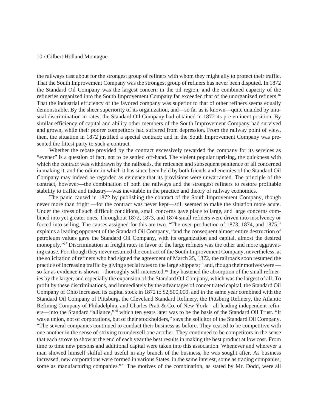the railways cast about for the strongest group of refiners with whom they might ally to protect their traffic. That the South Improvement Company was the strongest group of refiners has never been disputed. In 1872 the Standard Oil Company was the largest concern in the oil region, and the combined capacity of the refineries organized into the South Improvement Company far exceeded that of the unorganized refiners.16 That the industrial efficiency of the favored company was superior to that of other refiners seems equally demonstrable. By the sheer superiority of its organization, and—so far as is known—quite unaided by unusual discrimination in rates, the Standard Oil Company had obtained in 1872 its pre-eminent position. By similar efficiency of capital and ability other members of the South Improvement Company had survived and grown, while their poorer competitors had suffered from depression. From the railway point of view, then, the situation in 1872 justified a special contract; and in the South Improvement Company was presented the fittest party to such a contract.

Whether the rebate provided by the contract excessively rewarded the company for its services as "evener" is a question of fact, not to be settled off-hand. The violent popular uprising, the quickness with which the contract was withdrawn by the railroads, the reticence and subsequent penitence of all concerned in making it, and the odium in which it has since been held by both friends and enemies of the Standard Oil Company may indeed be regarded as evidence that its provisions were unwarranted. The principle of the contract, however—the combination of both the railways and the strongest refiners to restore profitable stability to traffic and industry—was inevitable in the practice and theory of railway economics.

The panic caused in 1872 by publishing the contract of the South Improvement Company, though never more than fright —for the contract was never kept—still seemed to make the situation more acute. Under the stress of such difficult conditions, small concerns gave place to large, and large concerns combined into yet greater ones. Throughout 1872, 1873, and 1874 small refiners were driven into insolvency or forced into selling. The causes assigned for this are two. "The over-production of 1873, 1874, and 1875," explains a leading opponent of the Standard Oil Company, "and the consequent almost entire destruction of petroleum values gave the Standard Oil Company, with its organization and capital, almost the desired monopoly."17 Discrimination in freight rates in favor of the large refiners was the other and more aggravating cause. For, though they never resumed the contract of the South Improvement Company, nevertheless, at the solicitation of refiners who had signed the agreement of March 25, 1872, the railroads soon resumed the practice of increasing traffic by giving special rates to the large shippers;18 and, though their motives were so far as evidence is shown—thoroughly self-interested,<sup>19</sup> they hastened the absorption of the small refineries by the larger, and especially the expansion of the Standard Oil Company, which was the largest of all. To profit by these discriminations, and immediately by the advantages of concentrated capital, the Standard Oil Company of Ohio increased its capital stock in 1872 to \$2,500,000, and in the same year combined with the Standard Oil Company of Pittsburg, the Cleveland Standard Refinery, the Pittsburg Refinery, the Atlantic Refining Company of Philadelphia, and Charles Pratt & Co. of New York—all leading independent refiners—into the Standard "alliance,"20 which ten years later was to be the basis of the Standard Oil Trust. "It was a union, not of corporations, but of their stockholders," says the solicitor of the Standard Oil Company. "The several companies continued to conduct their business as before. They ceased to be competitive with one another in the sense of striving to undersell one another. They continued to be competitors in the sense that each strove to show at the end of each year the best results in making the best product at low cost. From time to time new persons and additional capital were taken into this association. Whenever and wherever a man showed himself skilful and useful in any branch of the business, he was sought after. As business increased, new corporations were formed in various States, in the same interest, some as trading companies, some as manufacturing companies."<sup>21</sup> The motives of the combination, as stated by Mr. Dodd, were all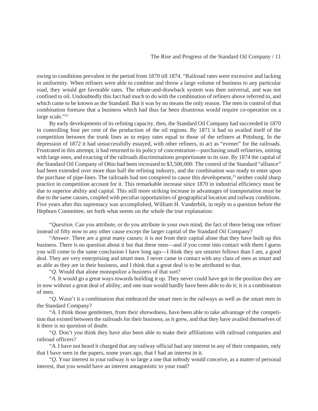owing to conditions prevalent in the period from 1870 till 1874. "Railroad rates were excessive and lacking in uniformity. When refiners were able to combine and throw a large volume of business to any particular road, they would get favorable rates. The rebate-and-drawback system was then universal, and was not confined to oil. Undoubtedly this fact had much to do with the combination of refiners above referred to, and which came to be known as the Standard. But it was by no means the only reason. The men in control of that combination foresaw that a business which had thus far been disastrous would require co-operation on a large scale."<sup>22</sup>

By early developments of its refining capacity, then, the Standard Oil Company had succeeded in 1870 in controlling four per cent of the production of the oil regions. By 1871 it had so availed itself of the competition between the trunk lines as to enjoy rates equal to those of the refiners at Pittsburg. In the depression of 1872 it had unsuccessfully essayed, with other refiners, to act as "evener" for the railroads. Frustrated in this attempt, it had returned to its policy of concentration—purchasing small refineries, uniting with large ones, and exacting of the railroads discriminations proportionate to its size. By 1874 the capital of the Standard Oil Company of Ohio had been increased to \$3,500,000. The control of the Standard "alliance" had been extended over more than half the refining industry, and the combination was ready to enter upon the purchase of pipe-lines. The railroads had not conspired to cause this development,<sup>23</sup> neither could sharp practice in competition account for it. This remarkable increase since 1870 in industrial efficiency must be due to superior ability and capital. This still more striking increase in advantages of transportation must be due to the same causes, coupled with peculiar opportunities of geographical location and railway conditions. Five years after this supremacy was accomplished, William H. Vanderbilt, in reply to a question before the Hepburn Committee, set forth what seems on the whole the true explanation:

"*Question.* Can you attribute, or do you attribute in your own mind, the fact of there being one refiner instead of fifty now to any other cause except the larger capital of the Standard Oil Company?

"*Answer.* There are a great many causes: it is not from their capital alone that they have built up this business. There is no question about it but that these men—and if you come into contact with them I guess you will come to the same conclusion I have long ago—I think they are smarter fellows than I am, a good deal. They are very enterprising and smart men. I never came in contact with any class of men as smart and as able as they are in their business, and I think that a great deal is to be attributed to that.

"*Q.* Would that alone monopolize a business of that sort?

"*A.* It would go a great ways towards building it up. They never could have got in the position they are in now without a great deal of ability, and one man would hardly have been able to do it; it is a combination of men.

"*Q.* Wasn't it a combination that embraced the smart men in the railways as well as the smart men in the Standard Company?

"*A.* I think those gentlemen, from their shrewdness, have been able to take advantage of the competition that existed between the railroads for their business, as it grew, and that they have availed themselves of it there is no question of doubt.

"*Q.* Don't you think they have also been able to make their affiliations with railroad companies and railroad officers?

"*A.* I have not heard it charged that any railway official had any interest in any of their companies, only that I have seen in the papers, some years ago, that I had an interest in it.

"*Q*. Your interest in your railway is so large a one that nobody would conceive, as a matter of personal interest, that you would have an interest antagonistic to your road?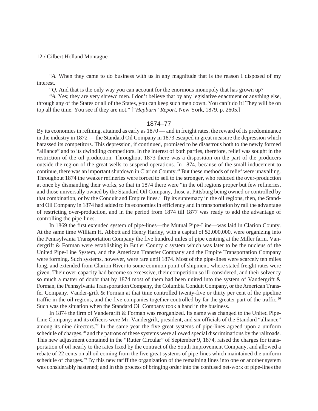"*A.* When they came to do business with us in any magnitude that is the reason I disposed of my interest.

"*Q.* And that is the only way you can account for the enormous monopoly that has grown up?

"*A.* Yes; they are very shrewd men. I don't believe that by any legislative enactment or anything else, through any of the States or all of the States, you can keep such men down. You can't do it! They will be on top all the time. You see if they are not." ["*Hepburn*" *Report,* New York, 1879, p. 2605.]

#### 1874–77

By its economies in refining, attained as early as 1870 — and in freight rates, the reward of its predominance in the industry in 1872 — the Standard Oil Company in 1873 escaped in great measure the depression which harassed its competitors. This depression, if continued, promised to be disastrous both to the newly formed "alliance" and to its dwindling competitors. In the interest of both parties, therefore, relief was sought in the restriction of the oil production. Throughout 1873 there was a disposition on the part of the producers outside the region of the great wells to suspend operations. In 1874, because of the small inducement to continue, there was an important shutdown in Clarion County.<sup>24</sup> But these methods of relief were unavailing. Throughout 1874 the weaker refineries were forced to sell to the stronger, who reduced the over-production at once by dismantling their works, so that in 1874 there were "in the oil regions proper but few refineries, and those universally owned by the Standard Oil Company, those at Pittsburg being owned or controlled by that combination, or by the Conduit and Empire lines.<sup>25</sup> By its supremacy in the oil regions, then, the Standard Oil Company in 1874 had added to its economies in efficiency and in transportation by rail the advantage of restricting over-production, and in the period from 1874 till 1877 was ready to add the advantage of controlling the pipe-lines.

In 1869 the first extended system of pipe-lines—the Mutual Pipe-Line—was laid in Clarion County. At the same time William H. Abbott and Henry Harley, with a capital of \$2,000,000, were organizing into the Pennsylvania Transportation Company the five hundred miles of pipe centring at the Miller farm. Vandergrift & Forman were establishing in Butler County *a* system which was later to be the nucleus of the United Pipe-Line System, and the American Transfer Company and the Empire Transportation Company were forming. Such systems, however, were rare until 1874. Most of the pipe-lines were scarcely ten miles long, and extended from Clarion River to some common point of shipment, where stated freight rates were given. Their over-capacity had become so excessive, their competition so ill-considered, and their solvency so much a matter of doubt that by 1874 most of them had been united into the system of Vandergrift & Forman, the Pennsylvania Transportation Company, the Columbia Conduit Company, or the American Transfer Company. Vander-grift & Forman at that time controlled twenty-five or thirty per cent of the pipeline traffic in the oil regions, and the five companies together controlled by far the greater part of the traffic.<sup>26</sup> Such was the situation when the Standard Oil Company took a hand in the business.

In 1874 the firm of Vandergrift & Forman was reorganized. Its name was changed to the United Pipe-Line Company; and its officers were Mr. Vandergrift, president, and six officials of the Standard "alliance" among its nine directors.<sup>27</sup> In the same year the five great systems of pipe-lines agreed upon a uniform schedule of charges,<sup>28</sup> and the patrons of these systems were allowed special discriminations by the railroads. This new adjustment contained in the "Rutter Circular" of September 9, 1874, raised the charges for transportation of oil nearly to the rates fixed by the contract of the South Improvement Company, and allowed a rebate of 22 cents on all oil coming from the five great systems of pipe-lines which maintained the uniform schedule of charges.<sup>29</sup> By this new tariff the organization of the remaining lines into one or another system was considerably hastened; and in this process of bringing order into the confused net-work of pipe-lines the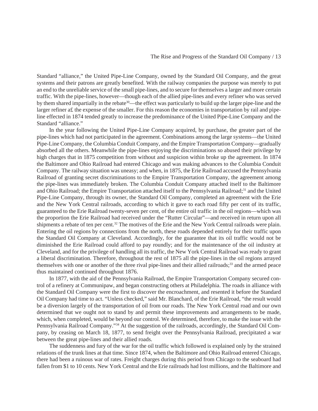Standard "alliance," the United Pipe-Line Company, owned by the Standard Oil Company, and the great systems and their patrons are greatly benefited. With the railway companies the purpose was merely to put an end to the unreliable service of the small pipe-lines, and to secure for themselves a larger and more certain traffic. With the pipe-lines, however—though each of the allied pipe-lines and every refiner who was served by them shared impartially in the rebate30—the effect was particularly to build up the larger pipe-line and the larger refiner a£ the expense of the smaller. For this reason the economies in transportation by rail and pipeline effected in 1874 tended greatly to increase the predominance of the United Pipe-Line Company and the Standard "alliance."

In the year following the United Pipe-Line Company acquired, by purchase, the greater part of the pipe-lines which had not participated in the agreement. Combinations among the large systems—the United Pipe-Line Company, the Columbia Conduit Company, and the Empire Transportation Company—gradually absorbed all the others. Meanwhile the pipe-lines enjoying the discriminations so abused their privilege by high charges that in 1875 competition from without and suspicion within broke up the agreement. In 1874 the Baltimore and Ohio Railroad had entered Chicago and was making advances to the Columbia Conduit Company. The railway situation was uneasy; and when, in 1875, the Erie Railroad accused the Pennsylvania Railroad of granting secret discriminations to the Empire Transportation Company, the agreement among the pipe-lines was immediately broken. The Columbia Conduit Company attached itself to the Baltimore and Ohio Railroad; the Empire Transportation attached itself to the Pennsylvania Railroad;<sup>31</sup> and the United Pipe-Line Company, through its owner, the Standard Oil Company, completed an agreement with the Erie and the New York Central railroads, according to which it gave to each road fifty per cent of its traffic, guaranteed to the Erie Railroad twenty-seven per cent, of the entire oil traffic in the oil regions—which was the proportion the Erie Railroad had received under the "Rutter Circular"—and received in return upon all shipments a rebate of ten per cent.<sup>32</sup> The motives of the Erie and the New York Central railroads were plain. Entering the oil regions by connections from the north, these roads depended entirely for their traffic upon the Standard Oil Company at Cleveland. Accordingly, for the guarantee that its oil traffic would not be diminished the Erie Railroad could afford to pay roundly; and for the maintenance of the oil industry at Cleveland, and for the privilege of handling all its traffic, the New York Central Railroad was ready to grant a liberal discrimination. Therefore, throughout the rest of 1875 all the pipe-lines in the oil regions arrayed themselves with one or another of the three rival pipe-lines and their allied railroads;<sup>33</sup> and the armed peace thus maintained continued throughout 1876.

In 1877, with the aid of the Pennsylvania Railroad, the Empire Transportation Company secured control of a refinery at Communipaw, and began constructing others at Philadelphia. The roads in alliance with the Standard Oil Company were the first to discover the encroachment, and resented it before the Standard Oil Company had time to act. "Unless checked," said Mr. Blanchard, of the Erie Railroad, "the result would be a diversion largely of the transportation of oil from our roads. The New York Central road and our own determined that we ought not to stand by and permit these improvements and arrangements to be made, which, when completed, would be beyond our control. We determined, therefore, to make the issue with the Pennsylvania Railroad Company."34 At the suggestion of the railroads, accordingly, the Standard Oil Company, by ceasing on March 18, 1877, to send freight over the Pennsylvania Railroad, precipitated a war between the great pipe-lines and their allied roads.

The suddenness and fury of the war for the oil traffic which followed is explained only by the strained relations of the trunk lines at that time. Since 1874, when the Baltimore and Ohio Railroad entered Chicago, there had been a ruinous war of rates. Freight charges during this period from Chicago to the seaboard had fallen from \$1 to 10 cents. New York Central and the Erie railroads had lost millions, and the Baltimore and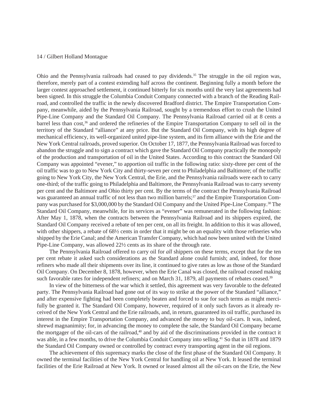Ohio and the Pennsylvania railroads had ceased to pay dividends.<sup>35</sup> The struggle in the oil region was, therefore, merely part of a contest extending half across the continent. Beginning fully a month before the larger contest approached settlement, it continued bitterly for six months until the very last agreements had been signed. In this struggle the Columbia Conduit Company connected with a branch of the Reading Railroad, and controlled the traffic in the newly discovered Bradford district. The Empire Transportation Company, meanwhile, aided by the Pennsylvania Railroad, sought by a tremendous effort to crush the United Pipe-Line Company and the Standard Oil Company. The Pennsylvania Railroad carried oil at 8 cents a barrel less than cost,<sup>36</sup> and ordered the refineries of the Empire Transportation Company to sell oil in the territory of the Standard "alliance" at any price. But the Standard Oil Company, with its high degree of mechanical efficiency, its well-organized united pipe-line system, and its firm alliance with the Erie and the New York Central railroads, proved superior. On October 17, 1877, the Pennsylvania Railroad was forced to abandon the struggle and to sign a contract which gave the Standard Oil Company practically the monopoly of the production and transportation of oil in the United States. According to this contract the Standard Oil Company was appointed "evener," to apportion oil traffic in the following ratio: sixty-three per cent of the oil traffic was to go to New York City and thirty-seven per cent to Philadelphia and Baltimore; of the traffic going to New York City, the New York Central, the Erie, and the Pennsylvania railroads were each to carry one-third; of the traffic going to Philadelphia and Baltimore, the Pennsylvania Railroad was to carry seventy per cent and the Baltimore and Ohio thirty per cent. By the terms of the contract the Pennsylvania Railroad was guaranteed an annual traffic of not less than two million barrels;<sup>37</sup> and the Empire Transportation Company was purchased for \$3,000,000 by the Standard Oil Company and the United Pipe-Line Company.<sup>38</sup> The Standard Oil Company, meanwhile, for its services as "evener" was remunerated in the following fashion: After May 1, 1878, when the contracts between the Pennsylvania Railroad and its shippers expired, the Standard Oil Company received a rebate of ten per cent, on all its freight. In addition to this it was allowed, with other shippers, a rebate of 68½ cents in order that it might be on an equality with those refineries who shipped by the Erie Canal; and the American Transfer Company, which had now been united with the United Pipe-Line Company, was allowed 22½ cents as its share of the through rate.

The Pennsylvania Railroad offered to carry oil for *all* shippers on these terms, except that for the ten per cent rebate it asked such considerations as the Standard alone could furnish; and, indeed, for those refiners who made all their shipments over its line, it continued to give rates as low as those of the Standard Oil Company. On December 8, 1878, however, when the Erie Canal was closed, the railroad ceased making such favorable rates for independent refiners; and on March 31, 1879, all payments of rebates ceased.<sup>39</sup>

In view of the bitterness of the war which it settled, this agreement was very favorable to the defeated party. The Pennsylvania Railroad had gone out of its way to strike at the power of the Standard "alliance," and after expensive fighting had been completely beaten and forced to sue for such terms as might mercifully be granted it. The Standard Oil Company, however, required of it only such favors as it already received of the New York Central and the Erie railroads, and, in return, guaranteed its oil traffic, purchased its interest in the Empire Transportation Company, and advanced the money to buy oil-cars. It was, indeed, shrewd magnanimity; for, in advancing the money to complete the sale, the Standard Oil Company became the mortgager of the oil-cars of the railroad,<sup>40</sup> and by aid of the discriminations provided in the contract it was able, in a few months, to drive the Columbia Conduit Company into selling.<sup>41</sup> So that in 1878 and 1879 the Standard Oil Company owned or controlled by contract every transporting agent in the oil regions.

The achievement of this supremacy marks the close of the first phase of the Standard Oil Company. It owned the terminal facilities of the New York Central for handling oil at New York. It leased the terminal facilities of the Erie Railroad at New York. It owned or leased almost all the oil-cars on the Erie, the New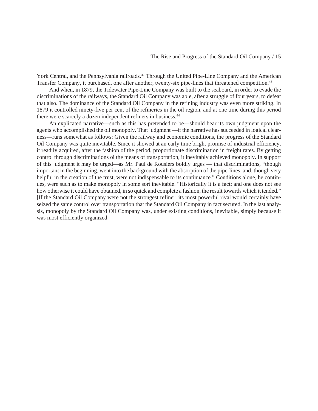York Central, and the Pennsylvania railroads.<sup>42</sup> Through the United Pipe-Line Company and the American Transfer Company, it purchased, one after another, twenty-six pipe-lines that threatened competition.<sup>43</sup>

And when, in 1879, the Tidewater Pipe-Line Company was built to the seaboard, in order to evade the discriminations of the railways, the Standard Oil Company was able, after a struggle of four years, to defeat that also. The dominance of the Standard Oil Company in the refining industry was even more striking. In 1879 it controlled ninety-five per cent of the refineries in the oil region, and at one time during this period there were scarcely a dozen independent refiners in business.<sup>44</sup>

An explicated narrative—such as this has pretended to be—should bear its own judgment upon the agents who accomplished the oil monopoly. That judgment —if the narrative has succeeded in logical clearness—runs somewhat as follows: Given the railway and economic conditions, the progress of the Standard Oil Company was quite inevitable. Since it showed at an early time bright promise of industrial efficiency, it readily acquired, after the fashion of the period, proportionate discrimination in freight rates. By getting control through discriminations oi the means of transportation, it inevitably achieved monopoly. In support of this judgment it may be urged—as Mr. Paul de Rousiers boldly urges — that discriminations, "though important in the beginning, went into the background with the absorption of the pipe-lines, and, though very helpful in the creation of the trust, were not indispensable to its continuance." Conditions alone, he continues, were such as to make monopoly in some sort inevitable. "Historically it is a fact; and one does not see how otherwise it could have obtained, in so quick and complete a fashion, the result towards which it tended." [If the Standard Oil Company were not the strongest refiner, its most powerful rival would certainly have seized the same control over transportation that the Standard Oil Company in fact secured. In the last analysis, monopoly by the Standard Oil Company was, under existing conditions, inevitable, simply because it was most efficiently organized.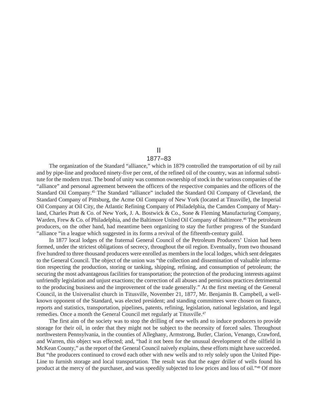### II 1877–83

The organization of the Standard "alliance," which in 1879 controlled the transportation of oil by rail and by pipe-line and produced ninety-five per cent, of the refined oil of the country, was an informal substitute for the modern trust. The bond of unity was common ownership of stock in the various companies of the "alliance" and personal agreement between the officers of the respective companies and the officers of the Standard Oil Company.45 The Standard "alliance" included the Standard Oil Company of Cleveland, the Standard Company of Pittsburg, the Acme Oil Company of New York (located at Titusville), the Imperial Oil Company at Oil City, the Atlantic Refining Company of Philadelphia, the Camden Company of Maryland, Charles Pratt & Co. of New York, J. A. Bostwick & Co., Sone & Fleming Manufacturing Company, Warden, Frew & Co. of Philadelphia, and the Baltimore United Oil Company of Baltimore.<sup>46</sup> The petroleum producers, on the other hand, had meantime been organizing to stay the further progress of the Standard "alliance "in a league which suggested in its forms a revival of the fifteenth-century guild.

In 1877 local lodges of the fraternal General Council of the Petroleum Producers' Union had been formed, under the strictest obligations of secrecy, throughout the oil region. Eventually, from two thousand five hundred to three thousand producers were enrolled as members in the local lodges, which sent delegates to the General Council. The object of the union was "the collection and dissemination of valuable information respecting the production, storing or tanking, shipping, refining, and consumption of petroleum; the securing the most advantageous facilities for transportation; the protection of the producing interests against unfriendly legislation and unjust exactions; the correction of all abuses and pernicious practices detrimental to the producing business and the improvement of the trade generally." At the first meeting of the General Council, in the Universalist church in Titusville, November 21, 1877, Mr. Benjamin B. Campbell, a wellknown opponent of the Standard, was elected president; and standing committees were chosen on finance, reports and statistics, transportation, pipelines, patents, refining, legislation, national legislation, and legal remedies. Once a month the General Council met regularly at Titusville.<sup>47</sup>

The first aim of the society was to stop the drilling of new wells and to induce producers to provide storage for their oil, in order that they might not be subject to the necessity of forced sales. Throughout northwestern Pennsylvania, in the counties of Alleghany, Armstrong, Butler, Clarion, Venango, Crawford, and Warren, this object was effected; and, "had it not been for the unusual development of the oilfield in McKean County," as the report of the General Council naively explains, these efforts might have succeeded. But "the producers continued to crowd each other with new wells and to rely solely upon the United Pipe-Line to furnish storage and local transportation. The result was that the eager driller of wells found his product at the mercy of the purchaser, and was speedily subjected to low prices and loss of oil."48 Of more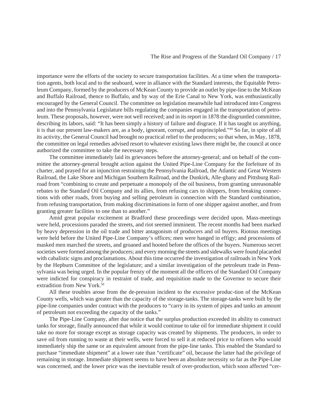importance were the efforts of the society to secure transportation facilities. At a time when the transportation agents, both local and to the seaboard, were in alliance with the Standard interests, the Equitable Petroleum Company, formed by the producers of McKean County to provide an outlet by pipe-line to the McKean and Buffalo Railroad, thence to Buffalo, and by way of the Erie Canal to New York, was enthusiastically encouraged by the General Council. The committee on legislation meanwhile had introduced into Congress and into the Pennsylvania Legislature bills regulating the companies engaged in the transportation of petroleum. These proposals, however, were not well received; and in its report in 1878 the disgruntled committee, describing its labors, said: "It has been simply a history of failure and disgrace. If it has taught us anything, it is that our present law-makers are, as a body, ignorant, corrupt, and unprincipled."49 So far, in spite of all its activity, the General Council had brought no practical relief to the producers; so that when, in May, 1878, the committee on legal remedies advised resort to whatever existing laws there might be, the council at once authorized the committee to take the necessary steps.

The committee immediately laid its grievances before the attorney-general; and on behalf of the committee the attorney-general brought action against the United Pipe-Line Company for the forfeiture of its charter, and prayed for an injunction restraining the Pennsylvania Railroad, the Atlantic and Great Western Railroad, the Lake Shore and Michigan Southern Railroad, and the Dunkirk, Alle-ghany and Pittsburg Railroad from "combining to create and perpetuate a monopoly of the oil business, from granting unreasonable rebates to the Standard Oil Company and its allies, from refusing cars to shippers, from breaking connections with other roads, from buying and selling petroleum in connection with the Standard combination, from refusing transportation, from making discriminations in form of one shipper against another, and from granting greater facilities to one than to another."

Amid great popular excitement at Bradford these proceedings were decided upon. Mass-meetings were held, processions paraded the streets, and riot seemed imminent. The recent months had been marked by heavy depression in the oil trade and bitter antagonism of producers and oil buyers. Riotous meetings were held before the United Pipe-Line Company's offices; men were hanged in effigy; and processions of masked men marched the streets, and groaned and hooted before the offices of the buyers. Numerous secret societies were formed among the producers; and every morning the streets and sidewalks were found placarded with cabalistic signs and proclamations. About this time occurred the investigation of railroads in New York by the Hepburn Committee of the legislature; and a similar investigation of the petroleum trade in Pennsylvania was being urged. In the popular frenzy of the moment all the officers of the Standard Oil Company were indicted for conspiracy in restraint of trade, and requisition made to the Governor to secure their extradition from New York.<sup>50</sup>

All these troubles arose from the de-pression incident to the excessive produc-tion of the McKean County wells, which was greater than the capacity of the storage-tanks. The storage-tanks were built by the pipe-line companies under contract with the producers to "carry in its system of pipes and tanks an amount of petroleum not exceeding the capacity of the tanks."

The Pipe-Line Company, after due notice that the surplus production exceeded its ability to construct tanks for storage, finally announced that while it would continue to take oil for immediate shipment it could take no more for storage except as storage capacity was created by shipments. The producers, in order to save oil from running to waste at their wells, were forced to sell it at reduced price to refiners who would immediately ship the same or an equivalent amount from the pipe-line tanks. This enabled the Standard to purchase "immediate shipment" at a lower rate than "certificate" oil, because the latter had the privilege of remaining in storage. Immediate shipment seems to have been an absolute necessity so far as the Pipe-Line was concerned, and the lower price was the inevitable result of over-production, which soon affected "cer-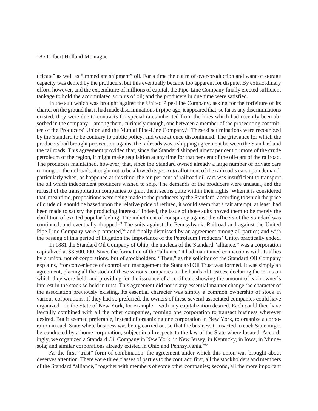tificate" as well as "immediate shipment" oil. For a time the claim of over-production and want of storage capacity was denied by the producers, but this eventually became too apparent for dispute. By extraordinary effort, however, and the expenditure of millions of capital, the Pipe-Line Company finally erected sufficient tankage to hold the accumulated surplus of oil; and the producers in due time were satisfied.

In the suit which was brought against the United Pipe-Line Company, asking for the forfeiture of its charter on the ground that it had made discriminations in pipe-age, it appeared that, so far as any discriminations existed, they were due to contracts for special rates inherited from the lines which had recently been absorbed in the company—among them, curiously enough, one between a member of the prosecuting committee of the Producers' Union and the Mutual Pipe-Line Company.51 These discriminations were recognized by the Standard to be contrary to public policy, and were at once discontinued. The grievance for which the producers had brought prosecution against the railroads was a shipping agreement between the Standard and the railroads. This agreement provided that, since the Standard shipped ninety per cent or more of the crude petroleum of the region, it might make requisition at any time for that per cent of the oil-cars of the railroad. The producers maintained, however, that, since the Standard owned already a large number of private cars running on the railroads, it ought not to be allowed its *pro rata* allotment of the railroad's cars upon demand; particularly when, as happened at this time, the ten per cent of railroad oil-cars was insufficient to transport the oil which independent producers wished to ship. The demands of the producers were unusual, and the refusal of the transportation companies to grant them seems quite within their rights. When it is considered that, meantime, propositions were being made to the producers by the Standard, according to which the price of crude oil should be based upon the relative price of refined, it would seem that a fair attempt, at least, had been made to satisfy the producing interest.<sup>52</sup> Indeed, the issue of those suits proved them to be merely the ebullition of excited popular feeling. The indictment of conspiracy against the officers of the Standard was continued, and eventually dropped.<sup>53</sup> The suits against the Pennsylvania Railroad and against the United Pipe-Line Company were protracted,<sup>54</sup> and finally dismissed by an agreement among all parties; and with the passing of this period of litigation the importance of the Petroleum Producers' Union practically ended.

In 1881 the Standard Oil Company of Ohio, the nucleus of the Standard "alliance," was a corporation capitalized at \$3,500,000. Since the formation of the "alliance" it had maintained connections with its allies by a union, not of corporations, but of stockholders. "Then," as the solicitor of the Standard Oil Company explains, "for convenience of control and management the Standard Oil Trust was formed. It was simply an agreement, placing all the stock of these various companies in the hands of trustees, declaring the terms on which they were held, and providing for the issuance of a certificate showing the amount of each owner's interest in the stock so held in trust. This agreement did not in any essential manner change the character of the association previously existing. Its essential character was simply a common ownership of stock in various corporations. If they had so preferred, the owners of these several associated companies could have organized—in the State of New York, for example—with any capitalization desired. Each could then have lawfully combined with all the other companies, forming one corporation to transact business wherever desired. But it seemed preferable, instead of organizing one corporation in New York, to organize a corporation in each State where business was being carried on, so that the business transacted in each State might be conducted by a home corporation, subject in all respects to the law of the State where located. Accordingly, we organized a Standard Oil Company in New York, in New Jersey, in Kentucky, in Iowa, in Minnesota; and similar corporations already existed in Ohio and Pennsylvania."55

As the first "trust" form of combination, the agreement under which this union was brought about deserves attention. There were three classes of parties to the contract: first, all the stockholders and members of the Standard "alliance," together with members of some other companies; second, all the more important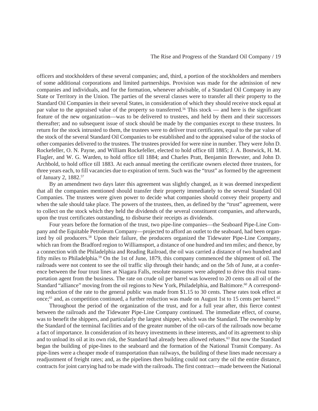officers and stockholders of these several companies; and, third, a portion of the stockholders and members of some additional corporations and limited partnerships. Provision was made for the admission of new companies and individuals, and for the formation, whenever advisable, of a Standard Oil Company in any State or Territory in the Union. The parties of the several classes were to transfer all their property to the Standard Oil Companies in their several States, in consideration of which they should receive stock equal at par value to the appraised value of the property so transferred.<sup>56</sup> This stock — and here is the significant feature of the new organization—was to be delivered to trustees, and held by them and their successors thereafter; and no subsequent issue of stock should be made by the companies except to these trustees. In return for the stock intrusted to them, the trustees were to deliver trust certificates, equal to the par value of the stock of the several Standard Oil Companies to be established and to the appraised value of the stocks of other companies delivered to the trustees. The trustees provided for were nine in number. They were John D. Rockefeller, O. N. Payne, and William Rockefeller, elected to hold office till 1885; J. A. Bostwick, H. M. Flagler, and W. G. Warden, to hold office till 1884; and Charles Pratt, Benjamin Brewster, and John D. Archbold, to hold office till 1883. At each annual meeting the certificate owners elected three trustees, for three years each, to fill vacancies due to expiration of term. Such was the "trust" as formed by the agreement of January 2, 1882.57

By an amendment two days later this agreement was slightly changed, as it was deemed inexpedient that all the companies mentioned should transfer their property immediately to the several Standard Oil Companies. The trustees were given power to decide what companies should convey their property and when the sale should take place. The powers of the trustees, then, as defined by the "trust" agreement, were to collect on the stock which they held the dividends of the several constituent companies, and afterwards, upon the trust certificates outstanding, to disburse their receipts as dividends.

Four years before the formation of the trust, two pipe-line companies—the Seaboard Pipe-Line Company and the Equitable Petroleum Company—projected to afford an outlet to the seaboard, had been organized by oil producers.<sup>58</sup> Upon their failure, the producers organized the Tidewater Pipe-Line Company, which ran from the Bradford region to Williamsport, a distance of one hundred and ten miles; and thence, by a connection with the Philadelphia and Reading Railroad, the oil was carried a distance of two hundred and fifty miles to Philadelphia.59 On the 1st of June, 1879, this company commenced the shipment of oil. The railroads were not content to see the oil traffic slip through their hands; and on the 5th of June, at a conference between the four trust lines at Niagara Falls, resolute measures were adopted to drive this rival transportation agent from the business. The rate on crude oil per barrel was lowered to 20 cents on all oil of the Standard "alliance" moving from the oil regions to New York, Philadelphia, and Baltimore.<sup>60</sup> A corresponding reduction of the rate to the general public was made from \$1.15 to 30 cents. These rates took effect at once;<sup>61</sup> and, as competition continued, a further reduction was made on August 1st to 15 cents per barrel.<sup>62</sup>

Throughout the period of the organization of the trust, and for a full year after, this fierce contest between the railroads and the Tidewater Pipe-Line Company continued. The immediate effect, of course, was to benefit the shippers, and particularly the largest shipper, which was the Standard. The ownership by the Standard of the terminal facilities and of the greater number of the oil-cars of the railroads now became a fact of importance. In consideration of its heavy investments in these interests, and of its agreement to ship and to unload its oil at its own risk, the Standard had already been allowed rebates.<sup>63</sup> But now the Standard began the building of pipe-lines to the seaboard and the formation of the National Transit Company. As pipe-lines were a cheaper mode of transportation than railways, the building of these lines made necessary a readjustment of freight rates; and, as the pipelines then building could not carry the oil the entire distance, contracts for joint carrying had to be made with the railroads. The first contract—made between the National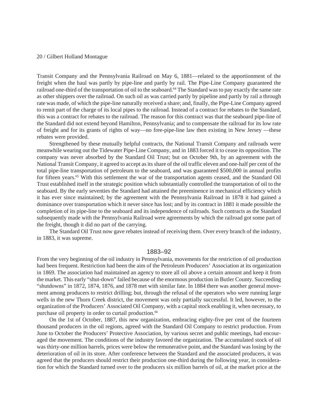Transit Company and the Pennsylvania Railroad on May 6, 1881—related to the apportionment of the freight when the haul was partly by pipe-line and partly by rail. The Pipe-Line Company guaranteed the railroad one-third of the transportation of oil to the seaboard.<sup>64</sup> The Standard was to pay exactly the same rate as other shippers over the railroad. On such oil as was carried partly by pipeline and partly by rail a through rate was made, of which the pipe-line naturally received a share; and, finally, the Pipe-Line Company agreed to remit part of the charge of its local pipes to the railroad. Instead of a contract for rebates to the Standard, this was a contract for rebates to the railroad. The reason for this contract was that the seaboard pipe-line of the Standard did not extend beyond Hamilton, Pennsylvania; and to compensate the railroad for its low rate of freight and for its grants of rights of way—no free-pipe-line law then existing in New Jersey —these rebates were provided.

Strengthened by these mutually helpful contracts, the National Transit Company and railroads were meanwhile wearing out the Tidewater Pipe-Line Company, and in 1883 forced it to cease its opposition. The company was never absorbed by the Standard Oil Trust; but on October 9th, by an agreement with the National Transit Company, it agreed to accept as its share of the oil traffic eleven and one-half per cent of the total pipe-line transportation of petroleum to the seaboard, and was guaranteed \$500,000 in annual profits for fifteen years.<sup>65</sup> With this settlement the war of the transportation agents ceased, and the Standard Oil Trust established itself in the strategic position which substantially controlled the transportation of oil to the seaboard. By the early seventies the Standard had attained the preeminence in mechanical efficiency which it has ever since maintained; by the agreement with the Pennsylvania Railroad in 1878 it had gained a dominance over transportation which it never since has lost; and by its contract in 1881 it made possible the completion of its pipe-line to the seaboard and its independence of railroads. Such contracts as the Standard subsequently made with the Pennsylvania Railroad were agreements by which the railroad got some part of the freight, though it did no part of the carrying.

The Standard Oil Trust now gave rebates instead of receiving them. Over every branch of the industry, in 1883, it was supreme.

#### 1883–92

From the very beginning of the oil industry in Pennsylvania, movements for the restriction of oil production had been frequent. Restriction had been the aim of the Petroleum Producers' Association at its organization in 1869. The association had maintained an agency to store all oil above a certain amount and keep it from the market. This early "shut-down" failed because of the enormous production in Butler County. Succeeding "shutdowns" in 1872, 1874, 1876, and 1878 met with similar fate. In 1884 there was another general movement among producers to restrict drilling; but, through the refusal of the operators who were running large wells in the new Thorn Creek district, the movement was only partially successful. It led, however, to the organization of the Producers' Associated Oil Company, with a capital stock enabling it, when necessary, to purchase oil property in order to curtail production.<sup>66</sup>

On the 1st of October, 1887, this new organization, embracing eighty-five per cent of the fourteen thousand producers in the oil regions, agreed with the Standard Oil Company to restrict production. From June to October the Producers' Protective Association, by various secret and public meetings, had encouraged the movement. The conditions of the industry favored the organization. The accumulated stock of oil was thirty-one million barrels, prices were below the remunerative point, and the Standard was losing by the deterioration of oil in its store. After conference between the Standard and the associated producers, it was agreed that the producers should restrict their production one-third during the following year, in consideration for which the Standard turned over to the producers six million barrels of oil, at the market price at the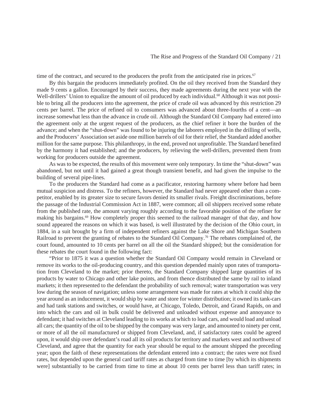time of the contract, and secured to the producers the profit from the anticipated rise in prices.<sup>67</sup>

By this bargain the producers immediately profited. On the oil they received from the Standard they made 9 cents a gallon. Encouraged by their success, they made agreements during the next year with the Well-drillers' Union to equalize the amount of oil produced by each individual.<sup>68</sup> Although it was not possible to bring all the producers into the agreement, the price of crude oil was advanced by this restriction 29 cents per barrel. The price of refined oil to consumers was advanced about three-fourths of a cent—an increase somewhat less than the advance in crude oil. Although the Standard Oil Company had entered into the agreement only at the urgent request of the producers, as the chief refiner it bore the burden of the advance; and when the "shut-down" was found to be injuring the laborers employed in the drilling of wells, and the Producers' Association set aside one million barrels of oil for their relief, the Standard added another million for the same purpose. This philanthropy, in the end, proved not unprofitable. The Standard benefited by the harmony it had established; and the producers, by relieving the well-drillers, prevented them from working for producers outside the agreement.

As was to be expected, the results of this movement were only temporary. In time the "shut-down" was abandoned, but not until it had gained a great though transient benefit, and had given the impulse to the building of several pipe-lines.

To the producers the Standard had come as a pacificator, restoring harmony where before had been mutual suspicion and distress. To the refiners, however, the Standard had never appeared other than a competitor, enabled by its greater size to secure favors denied its smaller rivals. Freight discriminations, before the passage of the Industrial Commission Act in 1887, were common; all oil shippers received some rebate from the published rate, the amount varying roughly according to the favorable position of the refiner for making his bargains.<sup>69</sup> How completely proper this seemed to the railroad manager of that day, and how sound appeared the reasons on which it was based, is well illustrated by the decision of the Ohio court, in 1884, in a suit brought by a firm of independent refiners against the Lake Shore and Michigan Southern Railroad to prevent the granting of rebates to the Standard Oil Company.<sup>70</sup> The rebates complained of, the court found, amounted to 10 cents per barrel on all the oil the Standard shipped; but the consideration for these rebates the court found in the following fact:

"Prior to 1875 it was a question whether the Standard Oil Company would remain in Cleveland or remove its works to the oil-producing country, and this question depended mainly upon rates of transportation from Cleveland to the market; prior thereto, the Standard Company shipped large quantities of its products by water to Chicago and other lake points, and from thence distributed the same by rail to inland markets; it then represented to the defendant the probability of such removal; water transportation was very low during the season of navigation; unless some arrangement was made for rates at which it could ship the year around as an inducement, it would ship by water and store for winter distribution; it owned its tank-cars and had tank stations and switches, or would have, at Chicago, Toledo, Detroit, and Grand Rapids, on and into which the cars and oil in bulk could be delivered and unloaded without expense and annoyance to defendant; it had switches at Cleveland leading to its works at which to load cars, and would load and unload all cars; the quantity of the oil to be shipped by the company was very large, and amounted to ninety per cent, or more of all the oil manufactured or shipped from Cleveland, and, if satisfactory rates could be agreed upon, it would ship over defendant's road all its oil products for territory and markets west and northwest of Cleveland, and agree that the quantity for each year should be equal to the amount shipped the preceding year; upon the faith of these representations the defendant entered into a contract; the rates were not fixed rates, but depended upon the general card tariff rates as charged from time to time [by which its shipments were] substantially to be carried from time to time at about 10 cents per barrel less than tariff rates; in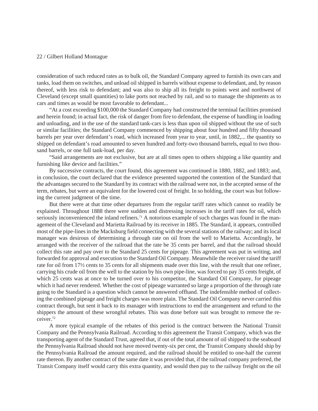consideration of such reduced rates as to bulk oil, the Standard Company agreed to furnish its own cars and tanks, load them on switches, and unload oil shipped in barrels without expense to defendant, and, by reason thereof, with less risk to defendant; and was also to ship all its freight to points west and northwest of Cleveland (except small quantities) to lake ports not reached by rail, and so to manage the shipments as to cars and times as would be most favorable to defendant...

"At a cost exceeding \$100,000 the Standard Company had constructed the terminal facilities promised and herein found; in actual fact, the risk of danger from fire to defendant, the expense of handling in loading and unloading, and in the use of the standard tank-cars is less than upon oil shipped without the use of such or similar facilities; the Standard Company commenced by shipping about four hundred and fifty thousand barrels per year over defendant's road, which increased from year to year, until, in 1882,... the quantity so shipped on defendant's road amounted to seven hundred and forty-two thousand barrels, equal to two thousand barrels, or one full tank-load, per day.

"Said arrangements are not exclusive, but are at all times open to others shipping a like quantity and furnishing like device and facilities."

By successive contracts, the court found, this agreement was continued in 1880, 1882, and 1883; and, in conclusion, the court declared that the evidence presented supported the contention of the Standard that the advantages secured to the Standard by its contract with the railroad were not, in the accepted sense of the term, rebates, but were an equivalent for the lowered cost of freight. In so holding, the court was but following the current judgment of the time.

But there were at that time other departures from the regular tariff rates which cannot so readily be explained. Throughout 1888 there were sudden and distressing increases in the tariff rates for oil, which seriously inconvenienced the inland refiners.<sup>71</sup> A notorious example of such charges was found in the management of the Cleveland and Marietta Railroad by its receiver in 1885. The Standard, it appears, controlled most of the pipe-lines in the Macksburg field connecting with the several stations of the railway; and its local manager was desirous of determining a through rate on oil from the well to Marietta. Accordingly, he arranged with the receiver of the railroad that the rate be 35 cents per barrel, and that the railroad should collect this rate and pay over to the Standard 25 cents for pipeage. This agreement was put in writing, and forwarded for approval and execution to the Standard Oil Company. Meanwhile the receiver raised the tariff rate for oil from 17½ cents to 35 cents for all shipments made over this line, with the result that one refiner, carrying his crude oil from the well to the station by his own pipe-line, was forced to pay 35 cents freight, of which 25 cents was at once to be turned over to his competitor, the Standard Oil Company, for pipeage which it had never rendered. Whether the cost of pipeage warranted so large a proportion of the through rate going to the Standard is a question which cannot be answered offhand. The indefensible method of collecting the combined pipeage and freight charges was more plain. The Standard Oil Company never carried this contract through, but sent it back to its manager with instructions to end the arrangement and refund to the shippers the amount of these wrongful rebates. This was done before suit was brought to remove the receiver.72

A more typical example of the rebates of this period is the contract between the National Transit Company and the Pennsylvania Railroad. According to this agreement the Transit Company, which was the transporting agent of the Standard Trust, agreed that, if out of the total amount of oil shipped to the seaboard the Pennsylvania Railroad should not have moved twenty-six per cent, the Transit Company should ship by the Pennsylvania Railroad the amount required, and the railroad should be entitled to one-half the current rate thereon. By another contract of the same date it was provided that, if the railroad company preferred, the Transit Company itself would carry this extra quantity, and would then pay to the railway freight on the oil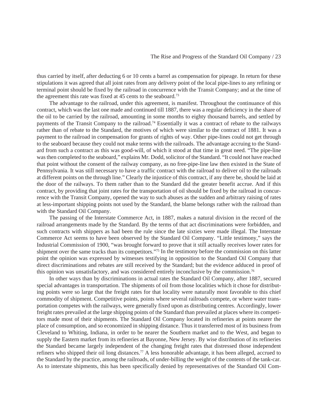thus carried by itself, after deducting 6 or 10 cents a barrel as compensation for pipeage. In return for these stipulations it was agreed that all joint rates from any delivery point of the local pipe-lines to any refining or terminal point should be fixed by the railroad in concurrence with the Transit Company; and at the time of the agreement this rate was fixed at 45 cents to the seaboard.<sup>73</sup>

The advantage to the railroad, under this agreement, is manifest. Throughout the continuance of this contract, which was the last one made and continued till 1887, there was a regular deficiency in the share of the oil to be carried by the railroad, amounting in some months to eighty thousand barrels, and settled by payments of the Transit Company to the railroad.<sup>74</sup> Essentially it was a contract of rebate to the railways rather than of rebate to the Standard, the motives of which were similar to the contract of 1881. It was a payment to the railroad in compensation for grants of rights of way. Other pipe-lines could not get through to the seaboard because they could not make terms with the railroads. The advantage accruing to the Standard from such a contract as this was good-will, of which it stood at that time in great need. "The pipe-line was then completed to the seaboard," explains Mr. Dodd, solicitor of the Standard. "It could not have reached that point without the consent of the railway company, as no free-pipe-line law then existed in the State of Pennsylvania. It was still necessary to have a traffic contract with the railroad to deliver oil to the railroads at different points on the through line." Clearly the injustice of this contract, if any there be, should be laid at the door of the railways. To them rather than to the Standard did the greater benefit accrue. And if this contract, by providing that joint rates for the transportation of oil should be fixed by the railroad in concurrence with the Transit Company, opened the way to such abuses as the sudden and arbitrary raising of rates at less-important shipping points not used by the Standard, the blame belongs rather with the railroad than with the Standard Oil Company.

The passing of the Interstate Commerce Act, in 1887, makes a natural division in the record of the railroad arrangements made by the Standard. By the terms of that act discriminations were forbidden, and such contracts with shippers as had been the rule since the late sixties were made illegal. The Interstate Commerce Act seems to have been observed by the Standard Oil Company. "Little testimony," says the Industrial Commission of 1900, "was brought forward to prove that it still actually receives lower rates for shipment over the same tracks than its competitors."75 In the testimony before the commission on this latter point the opinion was expressed by witnesses testifying in opposition to the Standard Oil Company that direct discriminations and rebates are still received by the Standard; but the evidence adduced in proof of this opinion was unsatisfactory, and was considered entirely inconclusive by the commission.76

In other ways than by discriminations in actual rates the Standard Oil Company, after 1887, secured special advantages in transportation. The shipments of oil from those localities which it chose for distributing points were so large that the freight rates for that locality were naturally most favorable to this chief commodity of shipment. Competitive points, points where several railroads compete, or where water transportation competes with the railways, were generally fixed upon as distributing centres. Accordingly, lower freight rates prevailed at the large shipping points of the Standard than prevailed at places where its competitors made most of their shipments. The Standard Oil Company located its refineries at points nearer the place of consumption, and so economized in shipping distance. Thus it transferred most of its business from Cleveland to Whiting, Indiana, in order to be nearer the Southern market and to the West, and began to supply the Eastern market from its refineries at Bayonne, New Jersey. By wise distribution of its refineries the Standard became largely independent of the changing freight rates that distressed those independent refiners who shipped their oil long distances.77 A less honorable advantage, it has been alleged, accrued to the Standard by the practice, among the railroads, of under-billing the weight of the contents of the tank-car. As to interstate shipments, this has been specifically denied by representatives of the Standard Oil Com-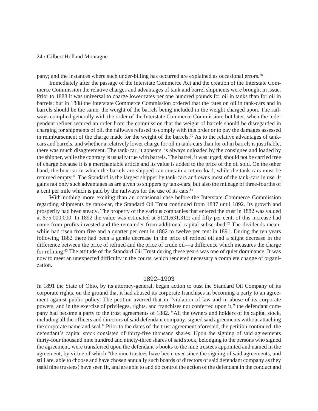pany; and the instances where such under-billing has occurred are explained as occasional errors.78

Immediately after the passage of the Interstate Commerce Act and the creation of the Interstate Commerce Commission the relative charges and advantages of tank and barrel shipments were brought in issue. Prior to 1888 it was universal to charge lower rates per one hundred pounds for oil in tanks than for oil in barrels; but in 1888 the Interstate Commerce Commission ordered that the rates on oil in tank-cars and in barrels should be the same, the weight of the barrels being included in the weight charged upon. The railways complied generally with the order of the Interstate Commerce Commission; but later, when the independent refiner secured an order from the commission that the weight of barrels should be disregarded in charging for shipments of oil, the railways refused to comply with this order or to pay the damages assessed in reimbursement of the charge made for the weight of the barrels.<sup>79</sup> As to the relative advantages of tankcars and barrels, and whether a relatively lower charge for oil in tank-cars than for oil in barrels is justifiable, there was much disagreement. The tank-car, it appears, is always unloaded by the consignee and loaded by the shipper, while the contrary is usually true with barrels. The barrel, it was urged, should not be carried free of charge because it is a merchantable article and its value is added to the price of the oil sold. On the other hand, the box-car in which the barrels are shipped can contain a return load, while the tank-cars must be returned empty.80 The Standard is the largest shipper by tank-cars and owns most of the tank-cars in use. It gains not only such advantages as are given to shippers by tank-cars, but also the mileage of three-fourths of a cent per mile which is paid by the railways for the use of its cars.<sup>81</sup>

With nothing more exciting than an occasional case before the Interstate Commerce Commission regarding shipments by tank-car, the Standard Oil Trust continued from 1887 until 1892. Its growth and prosperity had been steady. The property of the various companies that entered the trust in 1882 was valued at \$75,000,000. In 1892 the value was estimated at \$121,631,312; and fifty per cent, of this increase had come from profits invested and the remainder from additional capital subscribed.<sup>82</sup> The dividends meanwhile had risen from five and a quarter per cent in 1882 to twelve per cent in 1891. During the ten years following 1882 there had been a gentle decrease in the price of refined oil and a slight decrease in the difference between the price of refined and the price of crude oil—a difference which measures the charge for refining.83 The attitude of the Standard Oil Trust during these years was one of quiet dominance. It was now to meet an unexpected difficulty in the courts, which rendered necessary a complete change of organization.

#### 1892–1903

In 1891 the State of Ohio, by its attorney-general, began action to oust the Standard Oil Company of its corporate rights, on the ground that it had abused its corporate franchises in becoming a party to an agreement against public policy. The petition averred that in "violation of law and in abuse of its corporate powers, and in the exercise of privileges, rights, and franchises not conferred upon it," the defendant company had become a party to the trust agreements of 1882. "All the owners and holders of its capital stock, including all the officers and directors of said defendant company, signed said agreements without attaching the corporate name and seal." Prior to the dates of the trust agreement aforesaid, the petition continued, the defendant's capital stock consisted of thirty-five thousand shares. Upon the signing of said agreements thirty-four thousand nine hundred and ninety-three shares of said stock, belonging to the persons who signed the agreement, were transferred upon the defendant's books to the nine trustees appointed and named in the agreement, by virtue of which "the nine trustees have been, ever since the signing of said agreements, and still are, able to choose and have chosen annually such boards of directors of said defendant company as they (said nine trustees) have seen fit, and are able to and do control the action of the defendant in the conduct and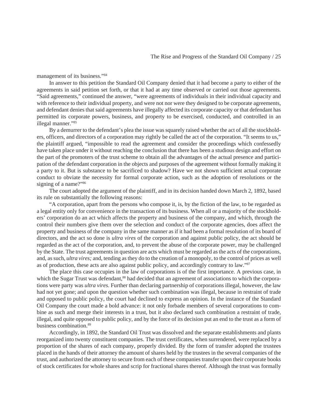management of its business."84

In answer to this petition the Standard Oil Company denied that it had become a party to either of the agreements in said petition set forth, or that it had at any time observed or carried out those agreements. "Said agreements," continued the answer, "were agreements of individuals in their individual capacity and with reference to their individual property, and were not nor were they designed to be corporate agreements, and defendant denies that said agreements have illegally affected its corporate capacity or that defendant has permitted its corporate powers, business, and property to be exercised, conducted, and controlled in an illegal manner."85

By a demurrer to the defendant's plea the issue was squarely raised whether the act of all the stockholders, officers, and directors of a corporation may rightly be called the act of the corporation. "It seems to us," the plaintiff argued, "impossible to read the agreement and consider the proceedings which confessedly have taken place under it without reaching the conclusion that there has been a studious design and effort on the part of the promoters of the trust scheme to obtain all the advantages of the actual presence and participation of the defendant corporation in the objects and purposes of the agreement without formally making it a party to it. But is substance to be sacrificed to shadow? Have we not shown sufficient actual corporate conduct to obviate the necessity for formal corporate action, such as the adoption of resolutions or the signing of a name?"<sup>86</sup>

The court adopted the argument of the plaintiff, and in its decision handed down March 2, 1892, based its rule on substantially the following reasons:

"A corporation, apart from the persons who compose it, is, by the fiction of the law, to be regarded as a legal entity only for convenience in the transaction of its business. When all or a majority of the stockholders' corporation do an act which affects the property and business of the company, and which, through the control their numbers give them over the selection and conduct of the corporate agencies, does affect the property and business of the company in the same manner as if it had been a formal resolution of its board of directors, and the act so done is *ultra vires* of the corporation and against public policy, the act should be regarded as the act of the corporation, and, to prevent the abuse of the corporate power, may be challenged by the State. The trust agreements in question are acts which must be regarded as the acts of the corporations, and, as such, *ultra vires;* and, tending as they do to the creation of a monopoly, to the control of prices as well as of production, these acts are also against public policy, and accordingly contrary to law."87

The place this case occupies in the law of corporations is of the first importance. A previous case, in which the Sugar Trust was defendant,<sup>88</sup> had decided that an agreement of associations to which the corporations were party was *ultra vires.* Further than declaring partnership of corporations illegal, however, the law had not yet gone; and upon the question whether such combination was illegal, because in restraint of trade and opposed to public policy, the court had declined to express an opinion. In the instance of the Standard Oil Company the court made a bold advance: it not only forbade members of several corporations to combine as such and merge their interests in a trust, but it also declared such combination a restraint of trade, illegal, and quite opposed to public policy, and by the force of its decision put an end to the trust as a form of business combination.<sup>89</sup>

Accordingly, in 1892, the Standard Oil Trust was dissolved and the separate establishments and plants reorganized into twenty constituent companies. The trust certificates, when surrendered, were replaced by a proportion of the shares of each company, properly divided. By the form of transfer adopted the trustees placed in the hands of their attorney the amount of shares held by the trustees in the several companies of the trust, and authorized the attorney to secure from each of these companies transfer upon their corporate books of stock certificates for whole shares and scrip for fractional shares thereof. Although the trust was formally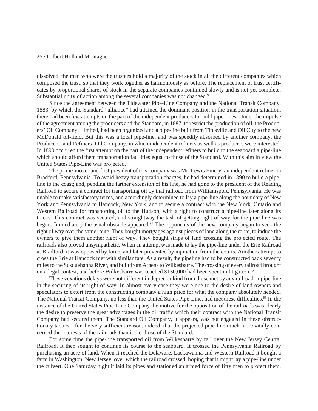dissolved, the men who were the trustees hold a majority of the stock in all the different companies which composed the trust, so that they work together as harmoniously as before. The replacement of trust certificates by proportional shares of stock in the separate companies continued slowly and is not yet complete. Substantial unity of action among the several companies was not changed.<sup>90</sup>

Since the agreement between the Tidewater Pipe-Line Company and the National Transit Company, 1883, by which the Standard "alliance" had attained the dominant position in the transportation situation, there had been few attempts on the part of the independent producers to build pipe-lines. Under the impulse of the agreement among the producers and the Standard, in 1887, to restrict the production of oil, the Producers' Oil Company, Limited, had been organized and a pipe-line built from Titusville and Oil City to the new McDonald oil-field. But this was a local pipe-line, and was speedily absorbed by another company, the Producers' and Refiners' Oil Company, in which independent refiners as well as producers were interested. In 1890 occurred the first attempt on the part of the independent refiners to build to the seaboard a pipe-line which should afford them transportation facilities equal to those of the Standard. With this aim in view the United States Pipe-Line was projected.

The prime-mover and first president of this company was Mr. Lewis Emery, an independent refiner in Bradford, Pennsylvania. To avoid heavy transportation charges, he had determined in 1890 to build a pipeline to the coast; and, pending the farther extension of his line, he had gone to the president of the Reading Railroad to secure a contract for transporting oil by that railroad from Williamsport, Pennsylvania. He was unable to make satisfactory terms, and accordingly determined to lay a pipe-line along the boundary of New York and Pennsylvania to Hancock, New York, and to secure a contract with the New York, Ontario and Western Railroad for transporting oil to the Hudson, with a right to construct a pipe-line later along its tracks. This contract was secured, and straightway the task of getting right of way for the pipe-line was begun. Immediately the usual obstacle appeared.<sup>91</sup> The opponents of the new company began to seek the right of way over the same route. They bought mortgages against pieces of land along the route, to induce the owners to give them another right of way. They bought strips of land crossing the projected route. The railroads also proved unsympathetic. When an attempt was made to lay the pipe-line under the Erie Railroad at Bradford, it was opposed by force, and later prevented by injunction from the courts. Another attempt to cross the Erie at Hancock met with similar fate. As a result, the pipeline had to be constructed back seventy miles to the Susquehanna River, and built from Athens to Wilkesbarre. The crossing of every railroad brought on a legal contest, and before Wilkesbarre was reached \$150,000 had been spent in litigation.<sup>92</sup>

These vexatious delays were not different in degree or kind from those met by any railroad or pipe-line in the securing of its right of way. In almost every case they were due to the desire of land-owners and speculators to extort from the constructing company a high price for what the company absolutely needed. The National Transit Company, no less than the United States Pipe-Line, had met these difficulties.<sup>93</sup> In the instance of the United States Pipe-Line Company the motive for the opposition of the railroads was clearly the desire to preserve the great advantages in the oil traffic which their contract with the National Transit Company had secured them. The Standard Oil Company, it appears, was not engaged in these obstructionary tactics—for the very sufficient reason, indeed, that the projected pipe-line much more vitally concerned the interests of the railroads than it did those of the Standard.

For some time the pipe-line transported oil from Wilkesbarre by rail over the New Jersey Central Railroad. It then sought to continue its course to the seaboard. It crossed the Pennsylvania Railroad by purchasing an acre of land. When it reached the Delaware, Lackawanna and Western Railroad it bought a farm in Washington, New Jersey, over which the railroad crossed, hoping that it might lay a pipe-line under the culvert. One Saturday night it laid its pipes and stationed an armed force of fifty men to protect them.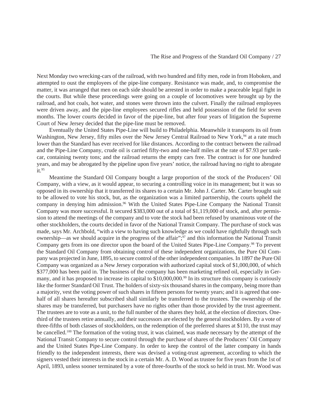Next Monday two wrecking-cars of the railroad, with two hundred and fifty men, rode in from Hoboken, and attempted to oust the employees of the pipe-line company. Resistance was made, and, to compromise the matter, it was arranged that men on each side should be arrested in order to make a peaceable legal fight in the courts. But while these proceedings were going on a couple of locomotives were brought up by the railroad, and hot coals, hot water, and stones were thrown into the culvert. Finally the railroad employees were driven away, and the pipe-line employees secured rifles and held possession of the field for seven months. The lower courts decided in favor of the pipe-line, but after four years of litigation the Supreme Court of New Jersey decided that the pipe-line must be removed.

Eventually the United States Pipe-Line will build to Philadelphia. Meanwhile it transports its oil from Washington, New Jersey, fifty miles over the New Jersey Central Railroad to New York,<sup>94</sup> at a rate much lower than the Standard has ever received for like distances. According to the contract between the railroad and the Pipe-Line Company, crude oil is carried fifty-two and one-half miles at the rate of \$7.93 per tankcar, containing twenty tons; and the railroad returns the empty cars free. The contract is for one hundred years, and may be abrogated by the pipeline upon five years' notice, the railroad having no right to abrogate  $it.95$ 

Meantime the Standard Oil Company bought a large proportion of the stock of the Producers' Oil Company, with a view, as it would appear, to securing a controlling voice in its management; but it was so opposed in its ownership that it transferred its shares to a certain Mr. John J. Carter. Mr. Carter brought suit to be allowed to vote his stock, but, as the organization was a limited partnership, the courts upheld the company in denying him admission.<sup>96</sup> With the United States Pipe-Line Company the National Transit Company was more successful. It secured \$383,000 out of a total of \$1,119,000 of stock, and, after permission to attend the meetings of the company and to vote the stock had been refused by unaminous vote of the other stockholders, the courts decided in favor of the National Transit Company. The purchase of stock was made, says Mr. Archbold, "with a view to having such knowledge as we could have rightfully through such ownership—as we should acquire in the progress of the affair";<sup>97</sup> and this information the National Transit Company gets from its one director upon the board of the United States Pipe-Line Company.98 To prevent the Standard Oil Company from obtaining control of these independent organizations, the Pure Oil Company was projected in June, 1895, to secure control of the other independent companies. In 1897 the Pure Oil Company was organized as a New Jersey corporation with authorized capital stock of \$1,000,000, of which \$377,000 has been paid in. The business of the company has been marketing refined oil, especially in Germany, and it has proposed to increase its capital to \$10,000,000.<sup>99</sup> In its structure this company is curiously like the former Standard Oil Trust. The holders of sixty-six thousand shares in the company, being more than a majority, vest the voting power of such shares in fifteen persons for twenty years; and it is agreed that onehalf of all shares hereafter subscribed shall similarly be transferred to the trustees. The ownership of the shares may be transferred, but purchasers have no rights other than those provided by the trust agreement. The trustees are to vote as a unit, to the full number of the shares they hold, at the election of directors. Onethird of the trustees retire annually, and their successors are elected by the general stockholders. By a vote of three-fifths of both classes of stockholders, on the redemption of the preferred shares at \$110, the trust may be cancelled.100 The formation of the voting trust, it was claimed, was made necessary by the attempt of the National Transit Company to secure control through the purchase of shares of the Producers' Oil Company and the United States Pipe-Line Company. In order to keep the control of the latter company in hands friendly to the independent interests, there was devised a voting-trust agreement, according to which the signers vested their interests in the stock in a certain Mr. A. D. Wood as trustee for five years from the 1st of April, 1893, unless sooner terminated by a vote of three-fourths of the stock so held in trust. Mr. Wood was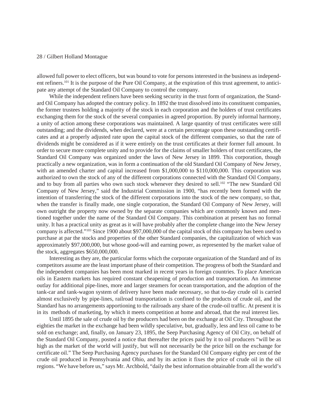allowed full power to elect officers, but was bound to vote for persons interested in the business as independent refiners.101 It is the purpose of the Pure Oil Company, at the expiration of this trust agreement, to anticipate any attempt of the Standard Oil Company to control the company.

While the independent refiners have been seeking security in the trust form of organization, the Standard Oil Company has adopted the contrary policy. In 1892 the trust dissolved into its constituent companies, the former trustees holding a majority of the stock in each corporation and the holders of trust certificates exchanging them for the stock of the several companies in agreed proportion. By purely informal harmony, a unity of action among these corporations was maintained. A large quantity of trust certificates were still outstanding; and the dividends, when declared, were at a certain percentage upon these outstanding certificates and at a properly adjusted rate upon the capital stock of the different companies, so that the rate of dividends might be considered as if it were entirely on the trust certificates at their former full amount. In order to secure more complete unity and to provide for the claims of smaller holders of trust certificates, the Standard Oil Company was organized under the laws of New Jersey in 1899. This corporation, though practically a new organization, was in form a continuation of the old Standard Oil Company of New Jersey, with an amended charter and capital increased from \$1,000,000 to \$110,000,000. This corporation was authorized to own the stock of any of the different corporations connected with the Standard Oil Company, and to buy from all parties who own such stock whenever they desired to sell.<sup>102</sup> "The new Standard Oil" Company of New Jersey," said the Industrial Commission in 1900, "has recently been formed with the intention of transferring the stock of the different corporations into the stock of the new company, so that, when the transfer is finally made, one single corporation, the Standard Oil Company of New Jersey, will own outright the property now owned by the separate companies which are commonly known and mentioned together under the name of the Standard Oil Company. This combination at present has no formal unity. It has a practical unity as great as it will have probably after the complete change into the New Jersey company is affected."103 Since 1900 about \$97,000,000 of the capital stock of this company has been used to purchase at par the stocks and properties of the other Standard companies, the capitalization of which was approximately \$97,000,000, but whose good-will and earning power, as represented by the market value of the stock, aggregates \$650,000,000.

Interesting as they are, the particular forms which the corporate organization of the Standard and of its competitors assume are the least important phase of their competition. The progress of both the Standard and the independent companies has been most marked in recent years in foreign countries. To place American oils in Eastern markets has required constant cheapening of production and transportation. An immense outlay for additional pipe-lines, more and larger steamers for ocean transportation, and the adoption of the tank-car and tank-wagon system of delivery have been made necessary, so that to-day crude oil is carried almost exclusively by pipe-lines, railroad transportation is confined to the products of crude oil, and the Standard has no arrangements apportioning to the railroads any share of the crude-oil traffic. At present it is in its methods of marketing, by which it meets competition at home and abroad, that the real interest lies.

Until 1895 the sale of crude oil by the producers had been on the exchange at Oil City. Throughout the eighties the market in the exchange had been wildly speculative, but, gradually, less and less oil came to be sold on exchange; and, finally, on January 23, 1895, the Seep Purchasing Agency of Oil City, on behalf of the Standard Oil Company, posted a notice that thereafter the prices paid by it to oil producers "will be as high as the market of the world will justify, but will not necessarily be the price bill on the exchange for certificate oil." The Seep Purchasing Agency purchases for the Standard Oil Company eighty per cent of the crude oil produced in Pennsylvania and Ohio, and by its action it fixes the price of crude oil in the oil regions. "We have before us," says Mr. Archbold, "daily the best information obtainable from all the world's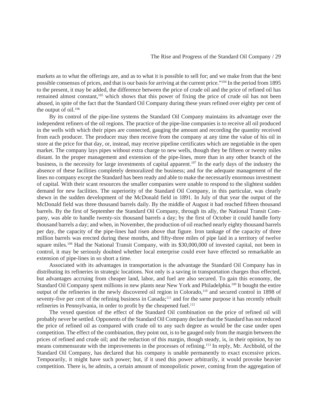markets as to what the offerings are, and as to what it is possible to sell for; and we make from that the best possible consensus of prices, and that is our basis for arriving at the current price."104 In the period from 1895 to the present, it may be added, the difference between the price of crude oil and the price of refined oil has remained almost constant,<sup>105</sup> which shows that this power of fixing the price of crude oil has not been abused, in spite of the fact that the Standard Oil Company during these years refined over eighty per cent of the output of oil.106

By its control of the pipe-line systems the Standard Oil Company maintains its advantage over the independent refiners of the oil regions. The practice of the pipe-line companies is to receive all oil produced in the wells with which their pipes are connected, gauging the amount and recording the quantity received from each producer. The producer may then receive from the company at any time the value of his oil in store at the price for that day, or, instead, may receive pipeline certificates which are negotiable in the open market. The company lays pipes without extra charge to new wells, though they be fifteen or twenty miles distant. In the proper management and extension of the pipe-lines, more than in any other branch of the business, is the necessity for large investments of capital apparent.107 In the early days of the industry the absence of these facilities completely demoralized the business; and for the adequate management of the lines no company except the Standard has been ready and able to make the necessarily enormous investment of capital. With their scant resources the smaller companies were unable to respond to the slightest sudden demand for new facilities. The superiority of the Standard Oil Company, in this particular, was clearly shewn in the sudden development of the McDonald field in 1891. In July of that year the output of the McDonald field was three thousand barrels daily. By the middle of August it had reached fifteen thousand barrels. By the first of September the Standard Oil Company, through its ally, the National Transit Company, was able to handle twenty-six thousand barrels a day; by the first of October it could handle forty thousand barrels a day; and when, in November, the production of oil reached nearly eighty thousand barrels per day, the capacity of the pipe-lines had risen above that figure. Iron tankage of the capacity of three million barrels was erected during these months, and fifty-three miles of pipe laid in a territory of twelve square miles.<sup>108</sup> Had the National Transit Company, with its \$30,000,000 of invested capital, not been in control, it may be seriously doubted whether local enterprise could ever have effected so remarkable an extension of pipe-lines in so short a time.

Associated with its advantages in transportation is the advantage the Standard Oil Company has in distributing its refineries in strategic locations. Not only is a saving in transportation charges thus effected, but advantages accruing from cheaper land, labor, and fuel are also secured. To gain this economy, the Standard Oil Company spent millions in new plants near New York and Philadelphia.<sup>109</sup> It bought the entire output of the refineries in the newly discovered oil region in Colorado,<sup>110</sup> and secured control in 1898 of seventy-five per cent of the refining business in Canada;<sup>111</sup> and for the same purpose it has recently rebuilt refineries in Pennsylvania, in order to profit by the cheapened fuel.<sup>112</sup>

The vexed question of the effect of the Standard Oil combination on the price of refined oil will probably never be settled. Opponents of the Standard Oil Company declare that the Standard has not reduced the price of refined oil as compared with crude oil to any such degree as would be the case under open competition. The effect of the combination, they point out, is to be gauged only from the margin between the prices of refined and crude oil; and the reduction of this margin, though steady, is, in their opinion, by no means commensurate with the improvements in the processes of refining.113 In reply, Mr. Archbold, of the Standard Oil Company, has declared that his company is unable permanently to exact excessive prices. Temporarily, it might have such power; but, if it used this power arbitrarily, it would provoke heavier competition. There is, he admits, a certain amount of monopolistic power, coming from the aggregation of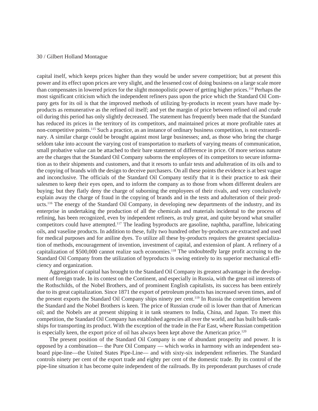capital itself, which keeps prices higher than they would be under severe competition; but at present this power and its effect upon prices are very slight, and the lessened cost of doing business on a large scale more than compensates in lowered prices for the slight monopolistic power of getting higher prices.114 Perhaps the most significant criticism which the independent refiners pass upon the price which the Standard Oil Company gets for its oil is that the improved methods of utilizing by-products in recent years have made byproducts as remunerative as the refined oil itself; and yet the margin of price between refined oil and crude oil during this period has only slightly decreased. The statement has frequently been made that the Standard has reduced its prices in the territory of its competitors, and maintained prices at more profitable rates at non-competitive points.115 Such a practice, as an instance of ordinary business competition, is not extraordinary. A similar charge could be brought against most large businesses; and, as those who bring the charge seldom take into account the varying cost of transportation to markets of varying means of communication, small probative value can be attached to their bare statement of difference in price. Of more serious nature are the charges that the Standard Oil Company suborns the employees of its competitors to secure information as to their shipments and customers, and that it resorts to unfair tests and adulteration of its oils and to the copying of brands with the design to deceive purchasers. On all these points the evidence is at best vague and inconclusive. The officials of the Standard Oil Company testify that it is their practice to ask their salesmen to keep their eyes open, and to inform the company as to those from whom different dealers are buying; but they flatly deny the charge of suborning the employees of their rivals, and very conclusively explain away the charge of fraud in the copying of brands and in the tests and adulteration of their products.116 The energy of the Standard Oil Company, in developing new departments of the industry, and its enterprise in undertaking the production of all the chemicals and materials incidental to the process of refining, has been recognized, even by independent refiners, as truly great, and quite beyond what smaller competitors could have attempted.117 The leading byproducts are gasoline, naphtha, paraffine, lubricating oils, and vaseline products. In addition to these, fully two hundred other by-products are extracted and used for medical purposes and for aniline dyes. To utilize all these by-products requires the greatest specialization of methods, encouragement of invention, investment of capital, and extension of plant. A refinery of a capitalization of \$500,000 cannot realize such economies.118 The undoubtedly large profit accruing to the Standard Oil Company from the utilization of byproducts is owing entirely to its superior mechanical efficiency and organization.

Aggregation of capital has brought to the Standard Oil Company its greatest advantage in the development of foreign trade. In its contest on the Continent, and especially in Russia, with the great oil interests of the Rothschilds, of the Nobel Brothers, and of prominent English capitalists, its success has been entirely due to its great capitalization. Since 1871 the export of petroleum products has increased seven times, and of the present exports the Standard Oil Company ships ninety per cent.<sup>119</sup> In Russia the competition between the Standard and the Nobel Brothers is keen. The price of Russian crude oil is lower than that of American oil; and the Nobels are at present shipping it in tank steamers to India, China, and Japan. To meet this competition, the Standard Oil Company has established agencies all over the world, and has built bulk-tankships for transporting its product. With the exception of the trade in the Far East, where Russian competition is especially keen, the export price of oil has always been kept above the American price.<sup>120</sup>

The present position of the Standard Oil Company is one of abundant prosperity and power. It is opposed by a combination— the Pure Oil Company — which works in harmony with an independent seaboard pipe-line—the United States Pipe-Line— and with sixty-six independent refineries. The Standard controls ninety per cent of the export trade and eighty per cent of the domestic trade. By its control of the pipe-line situation it has become quite independent of the railroads. By its preponderant purchases of crude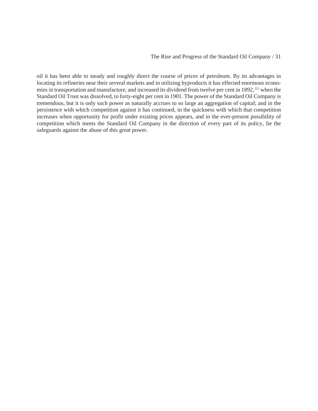oil it has been able to steady and roughly direct the course of prices of petroleum. By its advantages in locating its refineries near their several markets and in utilizing byproducts it has effected enormous economies in transportation and manufacture, and increased its dividend from twelve per cent in 1892,121 when the Standard Oil Trust was dissolved, to forty-eight per cent in 1901. The power of the Standard Oil Company is tremendous, but it is only such power as naturally accrues to so large an aggregation of capital; and in the persistence with which competition against it has continued, in the quickness with which that competition increases when opportunity for profit under existing prices appears, and in the ever-present possibility of competition which meets the Standard Oil Company in the direction of every part of its policy, lie the safeguards against the abuse of this great power.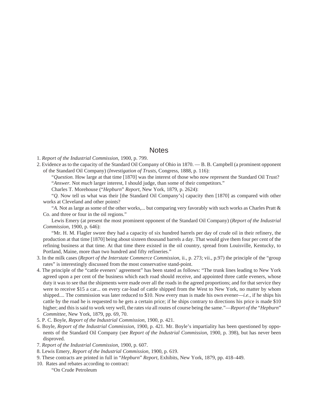### **Notes**

1. *Report of the Industrial Commission,* 1900, p. 799.

2. Evidence as to the capacity of the Standard Oil Company of Ohio in 1870. — B. B. Campbell (a prominent opponent of the Standard Oil Company) (*Investigation of Trusts,* Congress, 1888, p. 116):

"*Question.* How large at that time [1870] was the interest of those who now represent the Standard Oil Trust? "Answer. Not much larger interest, I should judge, than some of their competitors."

Charles T. Morehouse ("*Hepburn*" *Report,* New York, 1879, p. 2624):

- "*Q.* Now tell us what was their [the Standard Oil Company's] capacity then [1870] as compared with other works at Cleveland and other points?
- "*A.* Not as large as some of the other works,... but comparing very favorably with such works as Charles Pratt & Co. and three or four in the oil regions."
- Lewis Emery (at present the most prominent opponent of the Standard Oil Company) (*Report of the Industrial Commission,* 1900, p. 646):

"Mr. H. M. Flagler swore they had a capacity of six hundred barrels per day of crude oil in their refinery, the production at that time [1870] being about sixteen thousand barrels a day. That would give them four per cent of the refining business at that time. At that time there existed in the oil country, spread from Louisville, Kentucky, to Portland, Maine, more than two hundred and fifty refineries."

- 3. In the milk cases (*Report of the Interstate Commerce Commission,* ii., p. 273; vii., p.97) the principle of the "group rates" is interestingly discussed from the most conservative stand-point.
- 4. The principle of the "cattle eveners' agreement" has been stated as follows: "The trunk lines leading to New York agreed upon a per cent of the business which each road should receive, and appointed three cattle eveners, whose duty it was to see that the shipments were made over all the roads in the agreed proportions; and for that service they were to receive \$15 a car... on every car-load of cattle shipped from the West to New York, no matter by whom shipped.... The commission was later reduced to \$10. Now every man is made his own evener—*i.e.,* if he ships his cattle by the road he is requested to he gets a certain price; if he ships contrary to directions his price is made \$10 higher; and this is said to work very well, the rates *via* all routes of course being the same."—*Report of the* "*Hepburn*" *Committee,* New York, 1879, pp. 69, 70.
- 5. P. C. Boyle, *Report of the Industrial Commission,* 1900, p. 421.
- 6. Boyle, *Report of the Industrial Commission,* 1900, p. 421. Mr. Boyle's impartiality has been questioned by opponents of the Standard Oil Company (see *Report of the Industrial Commission,* 1900, p. 398), but has never been disproved.
- 7. *Report of the Industrial Commission,* 1900, p. 607.
- 8. Lewis Emery, *Report of the Industrial Commission,* 1900, p. 619.
- 9. These contracts are printed in full in "*Hepburn*" *Report,* Exhibits, New York, 1879, pp. 418–449.
- 10. Rates and rebates according to contract:
	- "On Crude Petroleum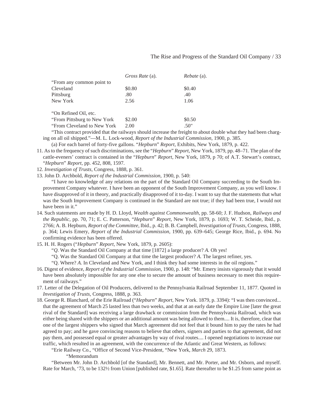#### The Rise and Progress of the Standard Oil Company / 33

|                              | Gross Rate (a). | <i>Rebate</i> (a). |
|------------------------------|-----------------|--------------------|
| "From any common point to    |                 |                    |
| Cleveland                    | \$0.80          | \$0.40             |
| Pittsburg                    | .80             | .40                |
| New York                     | 2.56            | 1.06               |
| "On Refined Oil, etc.        |                 |                    |
| "From Pittsburg to New York" | \$2.00          | \$0.50             |

"From Cleveland to New York 2.00 .50"

"This contract provided that the railways should increase the freight to about double what they had been charging on all oil shipped."—M. L. Lock-wood, *Report of the Industrial Commission,* 1900, p. 385.

(a) For each barrel of forty-five gallons. "*Hepburn*" *Report,* Exhibits, New York, 1879, p. 422.

11. As to the frequency of such discriminations, see the "*Hepburn*" *Report,* New York, 1879, pp. 48–71. The plan of the cattle-eveners' contract is contained in the "*Hepburn*" *Report,* New York, 1879, p 70; of A.T. Stewart's contract, "*Hepburn*" *Report,* pp. 452, 808, 1597.

12. *Investigation of Trusts,* Congress, 1888, p. 361.

13. John D. Archbold, *Report of the Industrial Commission,* 1900, p. 540:

"I have no knowledge of any relations on the part of the Standard Oil Company succeeding to the South Improvement Company whatever. I have been an opponent of the South Improvement Company, as you well know. I have disapproved of it in theory, and practically disapproved of it to-day. I want to say that the statements that what was the South Improvement Company is continued in the Standard are not true; if they had been true, I would not have been in it."

14. Such statements are made by H. D. Lloyd, *Wealth against Commonwealth,* pp. 58-60; J. F. Hudson, *Railways and the Republic,* pp. 70, 71; E. C. Patterson, "*Hepburn*" *Report,* New York, 1879, p. 1693; W. T. Scheide, Ibid., p. 2766; A. B. Hepburn, *Report of the Committee,* Ibid., p. 42; B. B. Campbell, *Investigation of Trusts,* Congress, 1888, p. 364; Lewis Emery, *Report of the Industrial Commission,* 1900, pp. 639–645; George Rice, Ibid., p. 694. No confirming evidence has been offered.

- 15. H. H. Rogers ("*Hepburn*" *Report,* New York, 1879, p. 2605):
	- "*Q.* Was the Standard Oil Company at that time [1872] a large producer? *A.* Oh yes!
	- "Q. Was the Standard Oil Company at that time the largest producer? *A.* The largest refiner, yes.
	- "Q. Where? *A.* In Cleveland and New York, and I think they had some interests in the oil regions."
- 16. Digest of evidence, *Report of the Industrial Commission,* 1900, p. 148: "Mr. Emery insists vigorously that it would have been absolutely impossible for any one else to secure the amount of business necessary to meet this requirement of railways."
- 17. Letter of the Delegation of Oil Producers, delivered to the Pennsylvania Railroad September 11, 1877. Quoted in *Investigation of Trusts,* Congress, 1888, p. 363.
- 18. George R. Blanchard, of the Erie Railroad ("*Hepburn*" *Report,* New York. 1879, p. 3394): "I was then convinced... that the agreement of March 25 lasted less than two weeks, and that at an early date the Empire Line [later the great rival of the Standard] was receiving a large drawback or commission from the Pennsylvania Railroad, which was either being shared with the shippers or an additional amount was being allowed to them.... It is, therefore, clear that one of the largest shippers who signed that March agreement did not feel that it bound him to pay the rates he had agreed to pay; and he gave convincing reasons to believe that others, signers and parties to that agreement, did not pay them, and possessed equal or greater advantages by way of rival routes.... I opened negotiations to increase our traffic, which resulted in an agreement, with the concurrence of the Atlantic and Great Western, as follows:

"Erie Railway Co., "Office of Second Vice-President, "New York, *March* 29, 1873.

"Memorandum

"Between Mr. John D. Archbold [of the Standard], Mr. Bennett, and Mr. Porter, and Mr. Osborn, and myself. Rate for March, '73, to be 132½ from Union [published rate, \$1.65]. Rate thereafter to be \$1.25 from same point as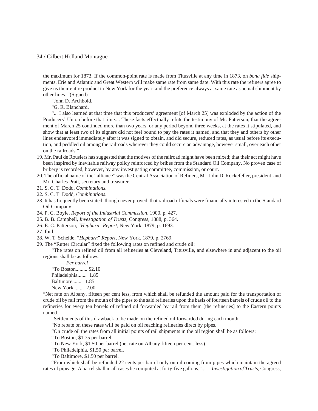the maximum for 1873. If the common-point rate is made from Titusville at any time in 1873, on *bona fide* shipments, Erie and Atlantic and Great Western will make same rate from same date. With this rate the refiners agree to give us their entire product to New York for the year, and the preference always at same rate as actual shipment by other lines. "(Signed)

"John D. Archbold.

"G. R. Blanchard.

"... I also learned at that time that this producers' agreement [of March 25] was exploded by the action of the Producers' Union before that time.... These facts effectually refute the testimony of Mr. Patterson, that the agreement of March 25 continued more than two years, or any period beyond three weeks, at the rates it stipulated, and show that at least two of its signers did not feel bound to pay the rates it named, and that they and others by other lines endeavored immediately after it was signed to obtain, and did secure, reduced rates, as usual before its execution, and peddled oil among the railroads wherever they could secure an advantage, however small, over each other on the railroads."

- 19. Mr. Paul de Rousiers has suggested that the motives of the railroad might have been mixed; that their act might have been inspired by inevitable railway policy reinforced by bribes from the Standard Oil Company. No proven case of bribery is recorded, however, by any investigating committee, commission, or court.
- 20. The official name of the "alliance" was the Central Association of Refiners, Mr. John D. Rockefeller, president, and Mr. Charles Pratt, secretary and treasurer.
- 21. S. C. T. Dodd, *Combinations*.
- 22. S. C. T. Dodd, *Combinations*.
- 23. It has frequently been stated, though never proved, that railroad officials were financially interested in the Standard Oil Company.
- 24. P. C. Boyle, *Report of the Industrial Commission,* 1900, p. 427.
- 25. B. B. Campbell, *Investigation of Trusts,* Congress, 1888, p. 364.
- 26. E. C. Patterson, "*Hepburn*" *Report,* New York, 1879, p. 1693.
- 27. Ibid.
- 28. W. T. Scheide, "*Hepburn*" *Report,* New York, 1879, p. 2769.
- 29. The "Rutter Circular" fixed the following rates on refined and crude oil:

"The rates on refined oil from all refineries at Cleveland, Titusville, and elsewhere in and adjacent to the oil regions shall be as follows:

*Per barrel* "To Boston......... \$2.10 Philadelphia....... 1.85 Baltimore........ 1.85

New York........ 2.00

"Net rate on Albany, fifteen per cent less, from which shall be refunded the amount paid for the transportation of crude oil by rail from the mouth of the pipes to the said refineries upon the basis of fourteen barrels of crude oil to the refineries for every ten barrels of refined oil forwarded by rail from them [the refineries] to the Eastern points named.

"Settlements of this drawback to be made on the refined oil forwarded during each month.

"No rebate on these rates will be paid on oil reaching refineries direct by pipes.

"On crude oil the rates from all initial points of rail shipments in the oil region shall be as follows:

"To Boston, \$1.75 per barrel.

"To New York, \$1.50 per barrel (net rate on Albany fifteen per cent. less).

"To Philadelphia, \$1.50 per barrel.

"To Baltimore, \$1.50 per barrel.

"From which shall be refunded 22 cents per barrel only on oil coming from pipes which maintain the agreed rates of pipeage. A barrel shall in all cases be computed at forty-five gallons."... —*Investigation of Trusts,* Congress,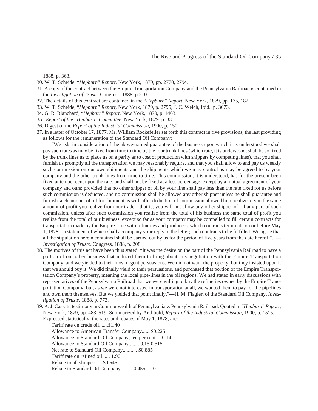1888, p. 363.

- 30. W. T. Scheide, "*Hepburn*" *Report,* New York, 1879, pp. 2770, 2794.
- 31. A copy of the contract between the Empire Transportation Company and the Pennsylvania Railroad is contained in the *Investigation of Trusts,* Congress, 1888, p 210.
- 32. The details of this contract are contained in the "*Hepburn*" *Report,* New York, 1879, pp. 175, 182.
- 33. W. T. Scheide, "*Hepburn*" *Report,* New York, 1879, p. 2795; J. C. Welch, Ibid., p. 3673.
- 34. G. R. Blanchard, "*Hepburn*" *Report,* New York, 1879, p. 1463.
- 35. *Report of the* "*Hepburn*" *Committee,* New York, 1879. p. 33.
- 36. Digest of the *Report of the Industrial Commission,* 1900, p. 150.
- 37. In a letter of October 17, 1877, Mr. William Rockefeller set forth this contract in five provisions, the last providing as follows for the remuneration oi the Standard Oil Company:

"We ask, in consideration of the above-named guarantee of the business upon which it is understood we shall pay such rates as may be fixed from time to time by the four trunk lines (which rate, it is understood, shall be so fixed by the trunk lines as to place us on a parity as to cost of production with shippers by competing lines), that you shall furnish us promptly all the transportation we may reasonably require, and that you shall allow to and pay us weekly such commission on our own shipments and the shipments which we may control as may be agreed to by your company and the other trunk lines from time to time. This commission, it is understood, has for the present been fixed at ten per cent upon the rate, and shall not be fixed at a less percentage, except by a mutual agreement of your company and ours; provided that no other shipper of oil by your line shall pay less than the rate fixed for us before such commission is deducted, and no commission shall be allowed any other shipper unless he shall guarantee and furnish such amount of oil for shipment as will, after deduction of commission allowed him, realize to you the same amount of profit you realize from our trade—that is, you will not allow any other shipper of oil any part of such commission, unless after such commission you realize from the total of his business the same total of profit you realize from the total of our business, except so far as your company may be compelled to fill certain contracts for transportation made by the Empire Line with refineries and producers, which contracts terminate on or before May 1, 1878—a statement of which shall accompany your reply to the letter; such contracts to be fulfilled. We agree that all the stipulation herein contained shall be carried out by us for the period of five years from the date hereof."...— *Investigation of Trusts,* Congress, 1888, p. 208.

- 38. The motives of this act have been thus stated: "It was the desire on the part of the Pennsylvania Railroad to have a portion of our other business that induced them to bring about this negotiation with the Empire Transportation Company, and we yielded to their most urgent persuasions. We did not want the property, but they insisted upon it that we should buy it. We did finally yield to their persuasions, and purchased that portion of the Empire Transportation Company's property, meaning the local pipe-lines in the oil regions. We had stated in early discussions with representatives of the Pennsylvania Railroad that we were willing to buy the refineries owned by the Empire Transportation Company; but, as we were not interested in transportation at all, we wanted them to pay for the pipelines and own them themselves. But we yielded that point finally."—H. M. Flagler, of the Standard Oil Company, *Investigation of Trusts,* 1888, p. 773.
- 39. A. J. Cassatt, testimony in Commonwealth of Pennsylvania *v.* Pennsylvania Railroad. Quoted in "*Hepburn*" *Report,* New York, 1879, pp. 483–519. Summarized by Archbold, *Report of the Industrial Commission,* 1900, p. 1515.

Expressed statistically, the rates and rebates of May 1, 1878, are: Tariff rate on crude oil.......\$1.40

Allowance to American Transfer Company...... \$0.225 Allowance to Standard Oil Company, ten per cent.... 0.14 Allowance to Standard Oil Company........ 0.15 0.515 Net rate to Standard Oil Company........... \$0.885 Tariff rate on refined oil...... 1.90 Rebate to all shippers.... \$0.645 Rebate to Standard Oil Company......... 0.455 1.10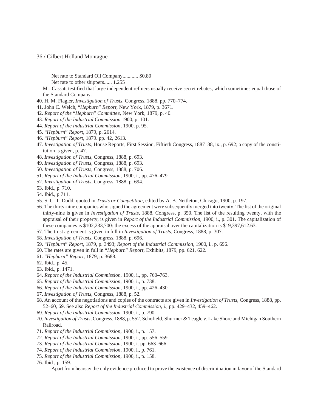Net rate to Standard Oil Company............ \$0.80

Net rate to other shippers...... 1.255

Mr. Cassatt testified that large independent refiners usually receive secret rebates, which sometimes equal those of the Standard Company.

- 40. H. M. Flagler, *Investigation of Trusts,* Congress, 1888, pp. 770–774.
- 41. John C. Welch, "*Hepburn*" *Report,* New York, 1879, p. 3671.
- 42. *Report of the* "*Hepburn*" *Committee,* New York, 1879, p. 40.
- 43. *Report of the Industrial Commission* 1900, p. 101.
- 44. *Report of the Industrial Commission,* 1900, p. 95.
- 45. "*Hepburn*" *Report,* 1879, p. 2614.
- 46. "*Hepburn*" *Report,* 1879. pp. 42, 2613.
- 47. *Investigation of Trusts,* House Reports, First Session, Fiftieth Congress, 1887–88, ix., p. 692; a copy of the constitution is given, p. 47.
- 48. *Investigation of Trusts,* Congress, 1888, p. 693.
- 49. *Investigation of Trusts,* Congress, 1888, p. 693.
- 50. *Investigation of Trusts,* Congress, 1888, p. 706.
- 51. *Report of the Industrial Commission,* 1900, i., pp. 476–479.
- 52. *Investigation of Trusts,* Congress, 1888, p. 694.
- 53. Ibid., p. 710.
- 54. Ibid., p 711.
- 55. S. C. T. Dodd, quoted in *Trusts or Competition,* edited by A. B. Nettleton, Chicago, 1900, p. 197.

56. The thirty-nine companies who signed the agreement were subsequently merged into twenty. The list of the original thirty-nine is given in *Investigation of Trusts,* 1888, Congress, p. 350. The list of the resulting twenty, with the appraisal of their property, is given in *Report of the Industrial Commission,* 1900, i., p. 301. The capitalization of these companies is \$102,233,700: the excess of the appraisal over the capitalization is \$19,397,612.63.

57. The trust agreement is given in full in *Investigation of Trusts,* Congress, 1888, p. 307.

- 58. *Investigation of Trusts,* Congress, 1888, p. 696.
- 59. "*Hepburn*" *Report,* 1879, p. 3493; *Report of the Industrial Commission,* 1900, i., p. 696.
- 60. The rates are given in full in "*Hepburn*" *Report,* Exhibits, 1879, pp. 621, 622.
- 61. "*Hepburn" Report,* 1879, p. 3688.
- 62. Ibid., p. 45.
- 63. Ibid., p. 1471.
- 64. *Report of the Industrial Commission,* 1900, i., pp. 760–763.
- 65. *Report of the Industrial Commission,* 1900, i., p. 738.
- 66. *Report of the Industrial Commission,* 1900, i., pp. 426–430.
- 67. *Investigation of Trusts,* Congress, 1888, p. 52.
- 68. An account of the negotiations and copies of the contracts are given in *Investigation of Trusts,* Congress, 1888, pp. 52–60, 69. See also *Report of the Industrial Commission,* i., pp. 429–432, 459–462.
- 69. *Report of the Industrial Commission.* 1900, i., p. 790.
- 70. *Investigation of Trusts,* Congress, 1888, p. 552. Schofield, Shurmer & Teagle *v.* Lake Shore and Michigan Southern Railroad.
- 71. *Report of the Industrial Commission,* 1900, i., p. 157.
- 72. *Report of the Industrial Commission,* 1900, i., pp. 556–559.
- 73. *Report of the Industrial Commission,* 1900, i. pp. 663–666.
- 74. *Report of the Industrial Commission,* 1900, i., p. 761.
- 75. *Report of the Industrial Commission,* 1900, i., p. 158.
- 76. Ibid , p. 159.

Apart from hearsay the only evidence produced to prove the existence of discrimination in favor of the Standard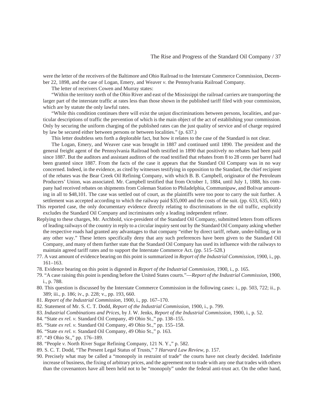were the letter of the receivers of the Baltimore and Ohio Railroad to the Interstate Commerce Commission, December 22, 1898, and the case of Logan, Emery, and Weaver *v.* the Pennsylvania Railroad Company.

The letter of receivers Cowen and Murray states:

"Within the territory north of the Ohio River and east of the Mississippi the railroad carriers are transporting the larger part of the interstate traffic at rates less than those shown in the published tariff filed with your commission, which are by statute the only lawful rates.

"While this condition continues there will exist the unjust discriminations between persons, localities, and particular descriptions of traffic the prevention of which is the main object of the act of establishing your commission. Only by securing the uniform charging of the published rates can the just quality of service and of charge required by law be secured either between persons or between localities." (p. 637.)

This letter doubtless sets forth a deplorable fact, but how it relates to the case of the Standard is not clear.

The Logan, Emery, and Weaver case was brought in 1887 and continued until 1890. The president and the general freight agent of the Pennsylvania Railroad both testified in 1890 that positively no rebates had been paid since 1887. But the auditors and assistant auditors of the road testified that rebates from 8 to 28 cents per barrel had been granted since 1887. From the facts of the case it appears that the Standard Oil Company was in no way concerned. Indeed, in the evidence, as cited by witnesses testifying in opposition to the Standard, the chief recipient of the rebates was the Bear Creek Oil Refining Company, with which B. B. Campbell, originator of the Petroleum Producers' Union, was associated. Mr. Campbell testified that from October 1, 1884, until July 1, 1888, his company had received rebates on shipments from Coleman Station to Philadelphia, Communipaw, and Bolivar amounting in all to \$48,101. The case was settled out of court, as the plaintiffs were too poor to carry the suit further. A settlement was accepted according to which the railway paid \$35,000 and the costs of the suit. (pp. 633, 635, 660.)

This reported case, the only documentary evidence directly relating to discriminations in the oil traffic, explicitly excludes the Standard Oil Company and incriminates only a leading independent refiner.

- Replying to these charges, Mr. Archbold, vice-president of the Standard Oil Company, submitted letters from officers of leading railways of the country in reply to a circular inquiry sent out by the Standard Oil Company asking whether the respective roads had granted any advantages to that company "either by direct tariff, rebate, under-billing, or in any other way." These letters specifically deny that any such preferences have been given to the Standard Oil Company, and many of them further state that the Standard Oil Company has used its influence with the railways to maintain agreed tariff rates and to support the Interstate Commerce Act. (pp. 515–528.)
- 77. A vast amount of evidence bearing on this point is summarized in *Report of the Industrial Commission,* 1900, i., pp. 161–163.
- 78. Evidence bearing on this point is digested in *Report of the Industrial Commission,* 1900, i., p. 165.
- 79. "A case raising this point is pending before the United States courts."—*Report of the Industrial Commission,* 1900, i., p. 788.
- 80. This question is discussed by the Interstate Commerce Commission in the following cases: i., pp. 503, 722; ii., p. 389; iii., p. 186; iv., p. 228; v., pp. 193, 660.
- 81. *Report of the Industrial Commission,* 1900, i., pp. 167–170.
- 82. Statement of Mr. S. C. T. Dodd, *Report of the Industrial Commission,* 1900, i., p. 799.
- 83. *Industrial Combinations and Prices,* by J. W. Jenks, *Report of the Industrial Commission,* 1900, i., p. 52.
- 84. "State *ex rel. v.* Standard Oil Company, 49 Ohio St.," pp. 138–155.
- 85. "State *ex rel. v.* Standard Oil Company, 49 Ohio St.," pp. 155–158.
- 86. "State *ex rel. v.* Standard Oil Company, 49 Ohio St.," p. 163.
- 87. "49 Ohio St.," pp. 176–189.
- 88. "People *v.* North River Sugar Refining Company, 121 N. Y.," p. 582.
- 89. S. C. T. Dodd, "The Present Legal Status of Trusts," 7 *Harvard Law Review,* p. 157.
- 90. Precisely what may be called a "monopoly in restraint of trade" the courts have not clearly decided. Indefinite increase of business, the fixing of arbitrary prices, and the agreement not to trade with any one that trades with others than the covenantors have all been held not to be "monopoly" under the federal anti-trust act. On the other hand,